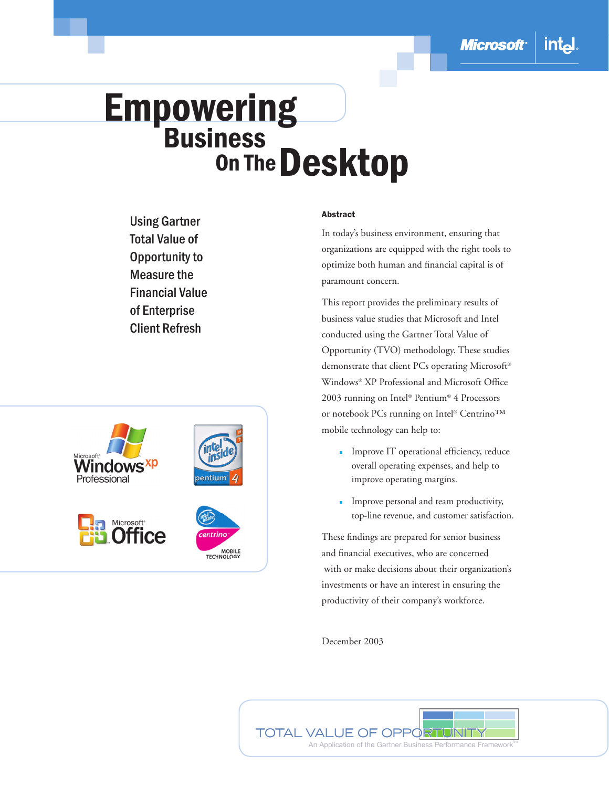# **Empowering**<br>Business **On The Desktop**

Using Gartner Total Value of Opportunity to Measure the Financial Value of Enterprise Client Refresh



#### Abstract

In today's business environment, ensuring that organizations are equipped with the right tools to optimize both human and financial capital is of paramount concern.

This report provides the preliminary results of business value studies that Microsoft and Intel conducted using the Gartner Total Value of Opportunity (TVO) methodology. These studies demonstrate that client PCs operating Microsoft® Windows® XP Professional and Microsoft Office 2003 running on Intel® Pentium® 4 Processors or notebook PCs running on Intel® Centrino™ mobile technology can help to:

- $\blacksquare$  Improve IT operational efficiency, reduce overall operating expenses, and help to improve operating margins.
- **Improve personal and team productivity,** top-line revenue, and customer satisfaction.

These findings are prepared for senior business and financial executives, who are concerned with or make decisions about their organization's investments or have an interest in ensuring the productivity of their company's workforce.

December 2003

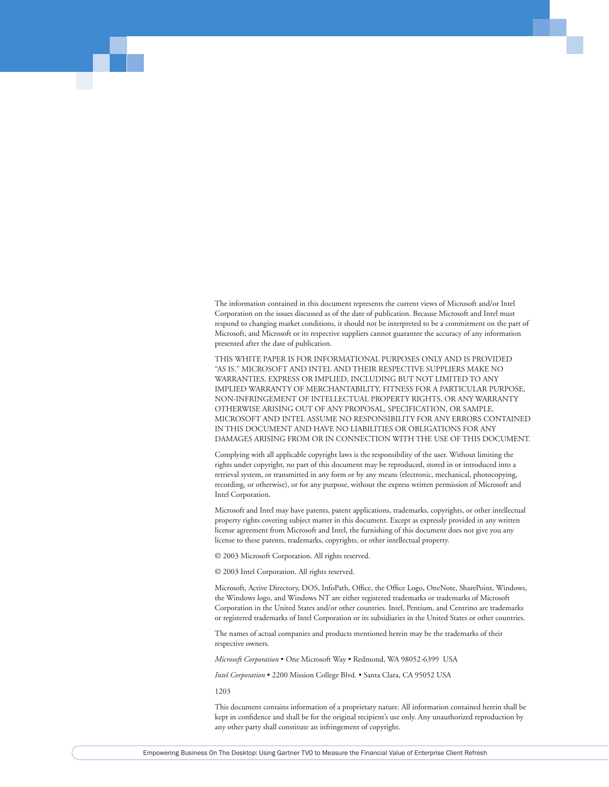The information contained in this document represents the current views of Microsoft and/or Intel Corporation on the issues discussed as of the date of publication. Because Microsoft and Intel must respond to changing market conditions, it should not be interpreted to be a commitment on the part of Microsoft, and Microsoft or its respective suppliers cannot guarantee the accuracy of any information presented after the date of publication.

THIS WHITE PAPER IS FOR INFORMATIONAL PURPOSES ONLY AND IS PROVIDED "AS IS." MICROSOFT AND INTEL AND THEIR RESPECTIVE SUPPLIERS MAKE NO WARRANTIES, EXPRESS OR IMPLIED, INCLUDING BUT NOT LIMITED TO ANY IMPLIED WARRANTY OF MERCHANTABILITY, FITNESS FOR A PARTICULAR PURPOSE, NON-INFRINGEMENT OF INTELLECTUAL PROPERTY RIGHTS, OR ANY WARRANTY OTHERWISE ARISING OUT OF ANY PROPOSAL, SPECIFICATION, OR SAMPLE. MICROSOFT AND INTEL ASSUME NO RESPONSIBILITY FOR ANY ERRORS CONTAINED IN THIS DOCUMENT AND HAVE NO LIABILITIES OR OBLIGATIONS FOR ANY DAMAGES ARISING FROM OR IN CONNECTION WITH THE USE OF THIS DOCUMENT.

Complying with all applicable copyright laws is the responsibility of the user. Without limiting the rights under copyright, no part of this document may be reproduced, stored in or introduced into a retrieval system, or transmitted in any form or by any means (electronic, mechanical, photocopying, recording, or otherwise), or for any purpose, without the express written permission of Microsoft and Intel Corporation.

Microsoft and Intel may have patents, patent applications, trademarks, copyrights, or other intellectual property rights covering subject matter in this document. Except as expressly provided in any written license agreement from Microsoft and Intel, the furnishing of this document does not give you any license to these patents, trademarks, copyrights, or other intellectual property.

© 2003 Microsoft Corporation. All rights reserved.

© 2003 Intel Corporation. All rights reserved.

Microsoft, Active Directory, DOS, InfoPath, Office, the Office Logo, OneNote, SharePoint, Windows, the Windows logo, and Windows NT are either registered trademarks or trademarks of Microsoft Corporation in the United States and/or other countries. Intel, Pentium, and Centrino are trademarks or registered trademarks of Intel Corporation or its subsidiaries in the United States or other countries.

The names of actual companies and products mentioned herein may be the trademarks of their respective owners.

*Microsoft Corporation* • One Microsoft Way • Redmond, WA 98052-6399 USA

*Intel Corporation* • 2200 Mission College Blvd. • Santa Clara, CA 95052 USA

1203

This document contains information of a proprietary nature. All information contained herein shall be kept in confidence and shall be for the original recipient's use only. Any unauthorized reproduction by any other party shall constitute an infringement of copyright.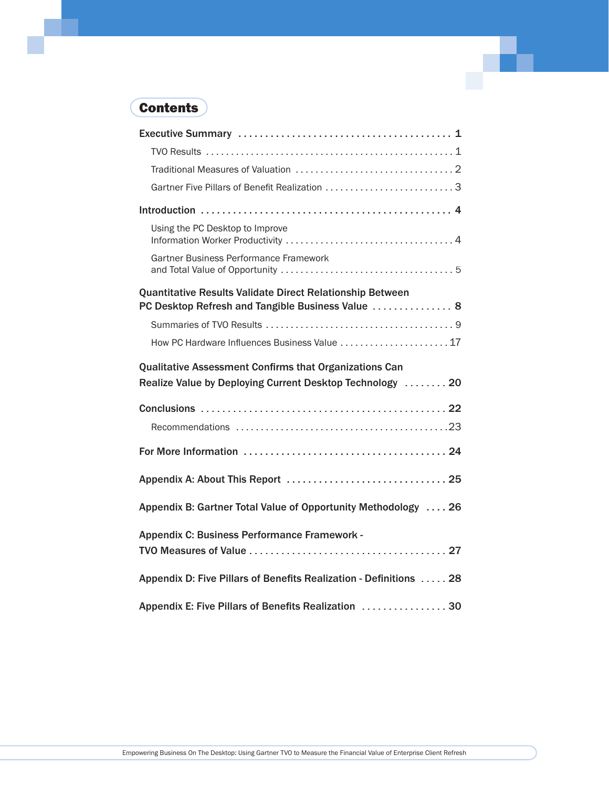## **Contents**

| Gartner Five Pillars of Benefit Realization 3                                                                              |
|----------------------------------------------------------------------------------------------------------------------------|
|                                                                                                                            |
| Using the PC Desktop to Improve                                                                                            |
| Gartner Business Performance Framework                                                                                     |
| Quantitative Results Validate Direct Relationship Between<br>PC Desktop Refresh and Tangible Business Value  8             |
|                                                                                                                            |
| How PC Hardware Influences Business Value  17                                                                              |
| <b>Qualitative Assessment Confirms that Organizations Can</b><br>Realize Value by Deploying Current Desktop Technology  20 |
|                                                                                                                            |
|                                                                                                                            |
|                                                                                                                            |
| Appendix B: Gartner Total Value of Opportunity Methodology  26                                                             |
| Appendix C: Business Performance Framework -                                                                               |
| Appendix D: Five Pillars of Benefits Realization - Definitions  28                                                         |
| Appendix E: Five Pillars of Benefits Realization  30                                                                       |

a post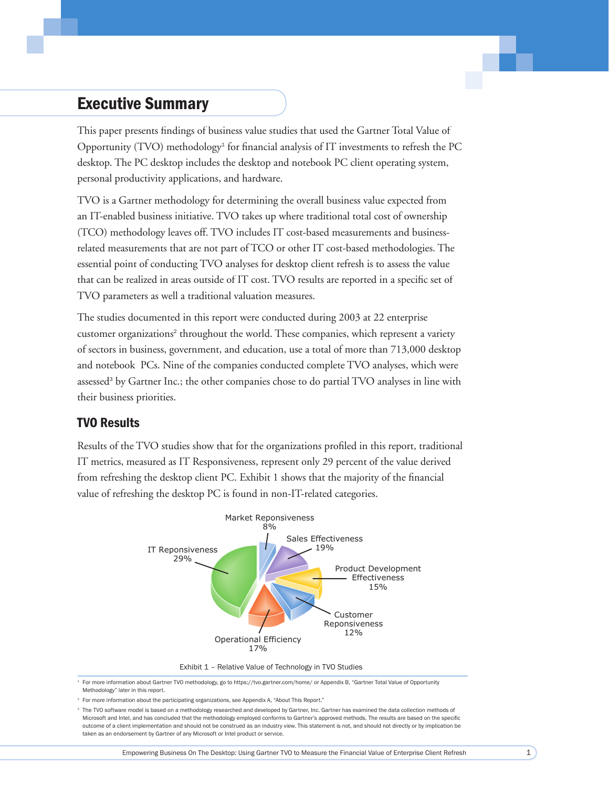## **Executive Summary**

This paper presents findings of business value studies that used the Gartner Total Value of Opportunity (TVO) methodology<sup>1</sup> for financial analysis of IT investments to refresh the PC desktop. The PC desktop includes the desktop and notebook PC client operating system, personal productivity applications, and hardware.

TVO is a Gartner methodology for determining the overall business value expected from an IT-enabled business initiative. TVO takes up where traditional total cost of ownership (TCO) methodology leaves off. TVO includes IT cost-based measurements and businessrelated measurements that are not part of TCO or other IT cost-based methodologies. The essential point of conducting TVO analyses for desktop client refresh is to assess the value that can be realized in areas outside of IT cost. TVO results are reported in a specific set of TVO parameters as well a traditional valuation measures.

The studies documented in this report were conducted during 2003 at 22 enterprise customer organizations<sup>2</sup> throughout the world. These companies, which represent a variety of sectors in business, government, and education, use a total of more than 713,000 desktop and notebook PCs. Nine of the companies conducted complete TVO analyses, which were assessed<sup>3</sup> by Gartner Inc.; the other companies chose to do partial TVO analyses in line with their business priorities.

#### **TVO Results**

Results of the TVO studies show that for the organizations profiled in this report, traditional IT metrics, measured as IT Responsiveness, represent only 29 percent of the value derived from refreshing the desktop client PC. Exhibit 1 shows that the majority of the financial value of refreshing the desktop PC is found in non-IT-related categories.



Exhibit 1 - Relative Value of Technology in TVO Studies

<sup>1</sup> For more information about Gartner TVO methodology, go to https://tvo.gartner.com/home/ or Appendix B, "Gartner Total Value of Opportunity Methodology" later in this report.

<sup>2</sup> For more information about the participating organizations, see Appendix A, "About This Report."

<sup>3</sup> The TVO software model is based on a methodology researched and developed by Gartner, Inc. Gartner has examined the data collection methods of Microsoft and Intel, and has concluded that the methodology employed conforms to Gartner's approved methods. The results are based on the specific outcome of a client implementation and should not be construed as an industry view. This statement is not, and should not directly or by implication be taken as an endorsement by Gartner of any Microsoft or Intel product or service.

 $1$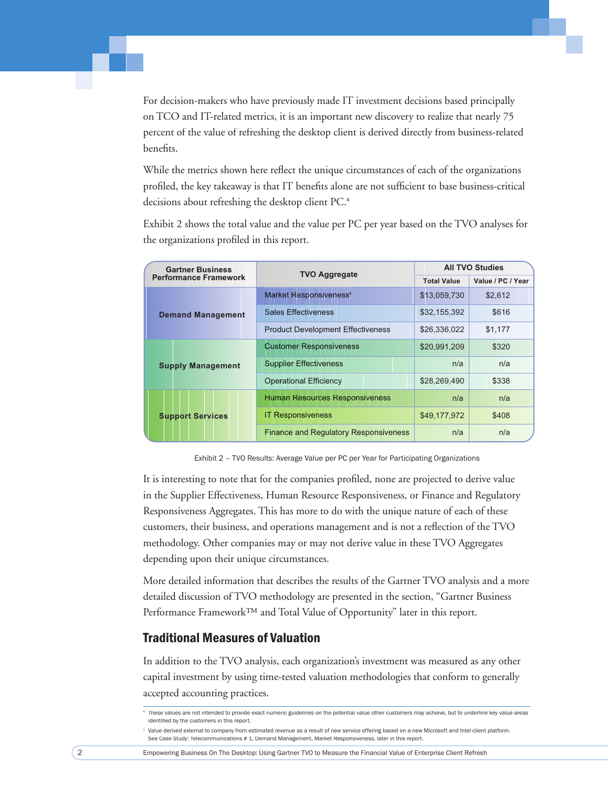For decision-makers who have previously made IT investment decisions based principally on TCO and IT-related metrics, it is an important new discovery to realize that nearly 75 percent of the value of refreshing the desktop client is derived directly from business-related benefits.

While the metrics shown here reflect the unique circumstances of each of the organizations profiled, the key takeaway is that IT benefits alone are not sufficient to base business-critical decisions about refreshing the desktop client PC.<sup>4</sup>

Exhibit 2 shows the total value and the value per PC per year based on the TVO analyses for the organizations profiled in this report.

| <b>Gartner Business</b>      | <b>TVO Aggregate</b>                         | <b>All TVO Studies</b> |                   |  |
|------------------------------|----------------------------------------------|------------------------|-------------------|--|
| <b>Performance Framework</b> |                                              | <b>Total Value</b>     | Value / PC / Year |  |
|                              | Market Responsiveness <sup>5</sup>           | \$13,059,730           | \$2.612           |  |
| <b>Demand Management</b>     | <b>Sales Effectiveness</b>                   | \$32,155,392           | \$616             |  |
|                              | <b>Product Development Effectiveness</b>     | \$26,336,022           | \$1.177           |  |
|                              | <b>Customer Responsiveness</b>               | \$20,991,209           | \$320             |  |
| <b>Supply Management</b>     | <b>Supplier Effectiveness</b>                | n/a                    | n/a               |  |
|                              | <b>Operational Efficiency</b>                | \$28,269,490           | \$338             |  |
|                              | <b>Human Resources Responsiveness</b>        | n/a                    | n/a               |  |
| <b>Support Services</b>      | <b>IT Responsiveness</b>                     | \$49,177,972           | \$408             |  |
|                              | <b>Finance and Regulatory Responsiveness</b> | n/a                    | n/a               |  |

Exhibit 2 - TVO Results: Average Value per PC per Year for Participating Organizations

It is interesting to note that for the companies profiled, none are projected to derive value in the Supplier Effectiveness, Human Resource Responsiveness, or Finance and Regulatory Responsiveness Aggregates. This has more to do with the unique nature of each of these customers, their business, and operations management and is not a reflection of the TVO methodology. Other companies may or may not derive value in these TVO Aggregates depending upon their unique circumstances.

More detailed information that describes the results of the Gartner TVO analysis and a more detailed discussion of TVO methodology are presented in the section, "Gartner Business Performance Framework<sup>TM</sup> and Total Value of Opportunity" later in this report.

#### **Traditional Measures of Valuation**

In addition to the TVO analysis, each organization's investment was measured as any other capital investment by using time-tested valuation methodologies that conform to generally accepted accounting practices.

These values are not intended to provide exact numeric guidelines on the potential value other customers may achieve, but to underline key value areas identified by the customers in this report.

<sup>&</sup>lt;sup>5</sup> Value derived external to company from estimated revenue as a result of new service offering based on a new Microsoft and Intel client platform. See Case Study: Telecommunications # 1, Demand Management, Market Responsiveness, later in this report.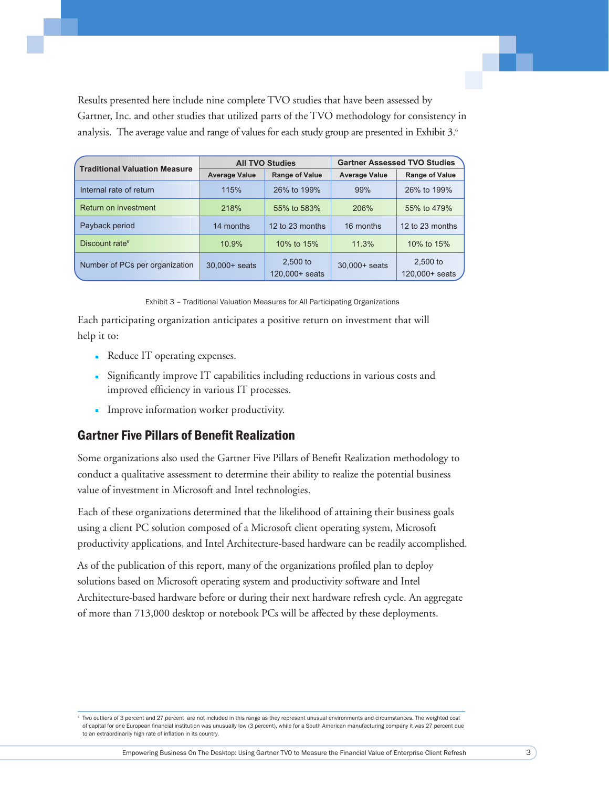Results presented here include nine complete TVO studies that have been assessed by Gartner, Inc. and other studies that utilized parts of the TVO methodology for consistency in analysis. The average value and range of values for each study group are presented in Exhibit 3.6

| <b>Traditional Valuation Measure</b> |                      | <b>All TVO Studies</b>               | <b>Gartner Assessed TVO Studies</b> |                              |  |
|--------------------------------------|----------------------|--------------------------------------|-------------------------------------|------------------------------|--|
|                                      | <b>Average Value</b> | <b>Range of Value</b>                |                                     | <b>Range of Value</b>        |  |
| Internal rate of return              | 115%                 | 26% to 199%                          | 99%                                 | 26% to 199%                  |  |
| Return on investment                 | 218%                 | 55% to 583%                          | 206%                                | 55% to 479%                  |  |
| Payback period                       | 14 months            | 12 to 23 months                      | 16 months                           | 12 to 23 months              |  |
| Discount rate <sup>6</sup>           | 10.9%                | 10% to 15%                           | 11.3%                               | 10% to 15%                   |  |
| Number of PCs per organization       | 30,000+ seats        | 2,500 to<br>$120.000 + \text{seats}$ | $30,000+$ seats                     | $2.500$ to<br>120,000+ seats |  |

Exhibit 3 - Traditional Valuation Measures for All Participating Organizations

Each participating organization anticipates a positive return on investment that will help it to:

- Reduce IT operating expenses.
- Significantly improve IT capabilities including reductions in various costs and improved efficiency in various IT processes.
- · Improve information worker productivity.

#### **Gartner Five Pillars of Benefit Realization**

Some organizations also used the Gartner Five Pillars of Benefit Realization methodology to conduct a qualitative assessment to determine their ability to realize the potential business value of investment in Microsoft and Intel technologies.

Each of these organizations determined that the likelihood of attaining their business goals using a client PC solution composed of a Microsoft client operating system, Microsoft productivity applications, and Intel Architecture-based hardware can be readily accomplished.

As of the publication of this report, many of the organizations profiled plan to deploy solutions based on Microsoft operating system and productivity software and Intel Architecture-based hardware before or during their next hardware refresh cycle. An aggregate of more than 713,000 desktop or notebook PCs will be affected by these deployments.

<sup>6</sup> Two outliers of 3 percent and 27 percent are not included in this range as they represent unusual environments and circumstances. The weighted cost of capital for one European financial institution was unusually low (3 percent), while for a South American manufacturing company it was 27 percent due to an extraordinarily high rate of inflation in its country.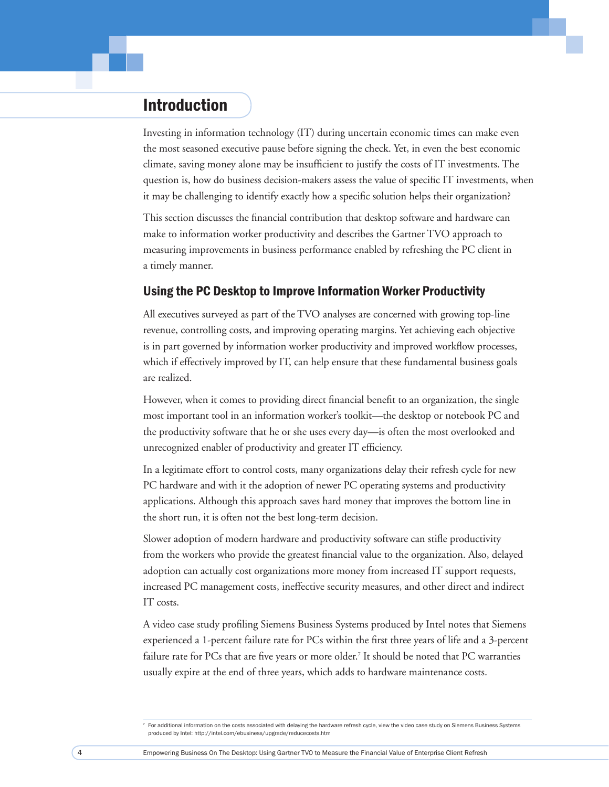## Introduction

Investing in information technology (IT) during uncertain economic times can make even the most seasoned executive pause before signing the check. Yet, in even the best economic climate, saving money alone may be insufficient to justify the costs of IT investments. The question is, how do business decision-makers assess the value of specific IT investments, when it may be challenging to identify exactly how a specific solution helps their organization?

This section discusses the financial contribution that desktop software and hardware can make to information worker productivity and describes the Gartner TVO approach to measuring improvements in business performance enabled by refreshing the PC client in a timely manner.

#### Using the PC Desktop to Improve Information Worker Productivity

All executives surveyed as part of the TVO analyses are concerned with growing top-line revenue, controlling costs, and improving operating margins. Yet achieving each objective is in part governed by information worker productivity and improved workflow processes, which if effectively improved by IT, can help ensure that these fundamental business goals are realized.

However, when it comes to providing direct financial benefit to an organization, the single most important tool in an information worker's toolkit—the desktop or notebook PC and the productivity software that he or she uses every day—is often the most overlooked and unrecognized enabler of productivity and greater IT efficiency.

In a legitimate effort to control costs, many organizations delay their refresh cycle for new PC hardware and with it the adoption of newer PC operating systems and productivity applications. Although this approach saves hard money that improves the bottom line in the short run, it is often not the best long-term decision.

Slower adoption of modern hardware and productivity software can stifle productivity from the workers who provide the greatest financial value to the organization. Also, delayed adoption can actually cost organizations more money from increased IT support requests, increased PC management costs, ineffective security measures, and other direct and indirect IT costs.

A video case study profiling Siemens Business Systems produced by Intel notes that Siemens experienced a 1-percent failure rate for PCs within the first three years of life and a 3-percent failure rate for PCs that are five years or more older.<sup>7</sup> It should be noted that PC warranties usually expire at the end of three years, which adds to hardware maintenance costs.

<sup>&</sup>lt;sup>7</sup> For additional information on the costs associated with delaying the hardware refresh cycle, view the video case study on Siemens Business Systems produced by Intel: http://intel.com/ebusiness/upgrade/reducecosts.htm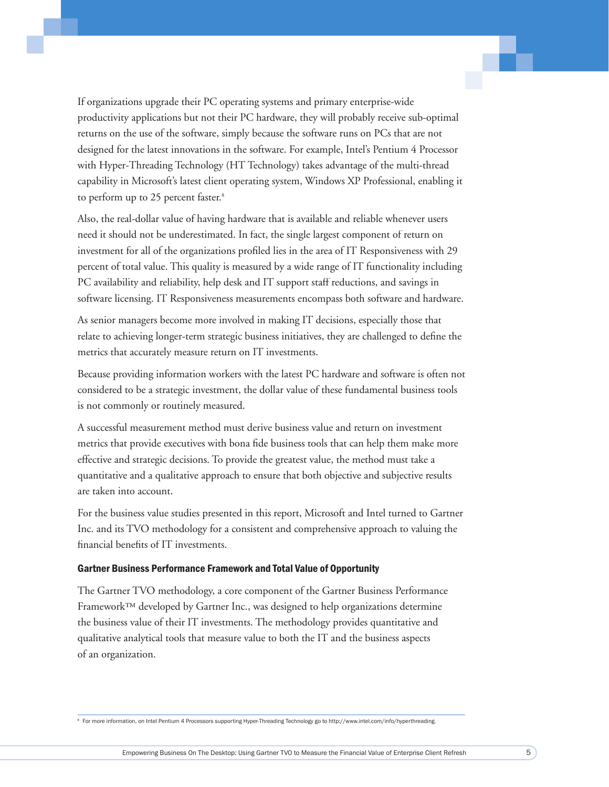If organizations upgrade their PC operating systems and primary enterprise-wide productivity applications but not their PC hardware, they will probably receive sub-optimal returns on the use of the software, simply because the software runs on PCs that are not designed for the latest innovations in the software. For example, Intel's Pentium 4 Processor with Hyper-Threading Technology (HT Technology) takes advantage of the multi-thread capability in Microsoft's latest client operating system, Windows XP Professional, enabling it to perform up to 25 percent faster.<sup>8</sup>

Also, the real-dollar value of having hardware that is available and reliable whenever users need it should not be underestimated. In fact, the single largest component of return on investment for all of the organizations profiled lies in the area of IT Responsiveness with 29 percent of total value. This quality is measured by a wide range of IT functionality including PC availability and reliability, help desk and IT support staff reductions, and savings in software licensing. IT Responsiveness measurements encompass both software and hardware.

As senior managers become more involved in making IT decisions, especially those that relate to achieving longer-term strategic business initiatives, they are challenged to define the metrics that accurately measure return on IT investments.

Because providing information workers with the latest PC hardware and software is often not considered to be a strategic investment, the dollar value of these fundamental business tools is not commonly or routinely measured.

A successful measurement method must derive business value and return on investment metrics that provide executives with bona fide business tools that can help them make more effective and strategic decisions. To provide the greatest value, the method must take a quantitative and a qualitative approach to ensure that both objective and subjective results are taken into account.

For the business value studies presented in this report, Microsoft and Intel turned to Gartner Inc. and its TVO methodology for a consistent and comprehensive approach to valuing the financial benefits of IT investments.

#### Gartner Business Performance Framework and Total Value of Opportunity

The Gartner TVO methodology, a core component of the Gartner Business Performance Framework™ developed by Gartner Inc., was designed to help organizations determine the business value of their IT investments. The methodology provides quantitative and qualitative analytical tools that measure value to both the IT and the business aspects of an organization.

<sup>8</sup> For more information, on Intel Pentium 4 Processors supporting Hyper-Threading Technology go to http://www.intel.com/info/hyperthreading.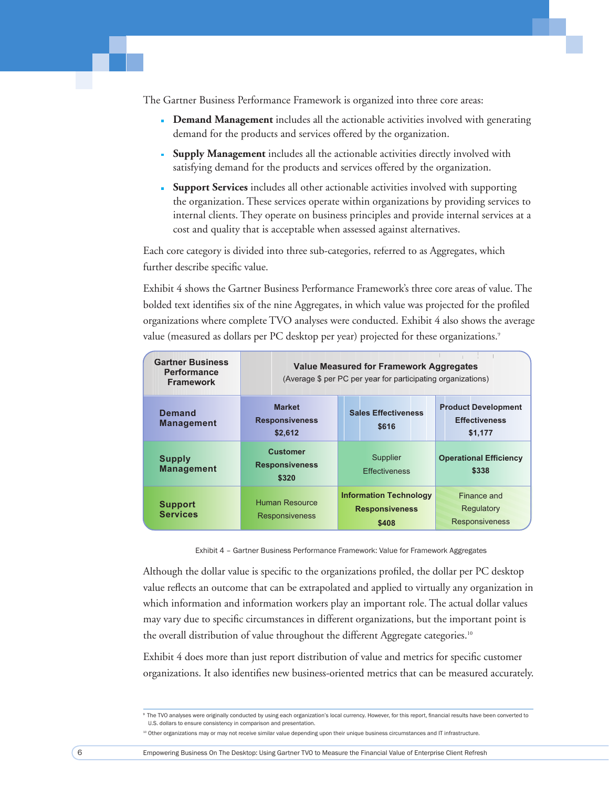The Gartner Business Performance Framework is organized into three core areas:

- Demand Management includes all the actionable activities involved with generating demand for the products and services offered by the organization.
- Supply Management includes all the actionable activities directly involved with satisfying demand for the products and services offered by the organization.
- Support Services includes all other actionable activities involved with supporting the organization. These services operate within organizations by providing services to internal clients. They operate on business principles and provide internal services at a cost and quality that is acceptable when assessed against alternatives.

Each core category is divided into three sub-categories, referred to as Aggregates, which further describe specific value.

Exhibit 4 shows the Gartner Business Performance Framework's three core areas of value. The bolded text identifies six of the nine Aggregates, in which value was projected for the profiled organizations where complete TVO analyses were conducted. Exhibit 4 also shows the average value (measured as dollars per PC desktop per year) projected for these organizations.<sup>9</sup>

| <b>Gartner Business</b><br><b>Performance</b><br><b>Framework</b> | <b>Value Measured for Framework Aggregates</b><br>(Average \$ per PC per year for participating organizations) |                                                                 |                                                               |  |
|-------------------------------------------------------------------|----------------------------------------------------------------------------------------------------------------|-----------------------------------------------------------------|---------------------------------------------------------------|--|
| <b>Demand</b><br><b>Management</b>                                | <b>Market</b><br><b>Responsiveness</b><br>\$2,612                                                              | <b>Sales Effectiveness</b><br>\$616                             | <b>Product Development</b><br><b>Effectiveness</b><br>\$1,177 |  |
| <b>Supply</b><br><b>Management</b>                                | <b>Customer</b><br><b>Responsiveness</b><br>\$320                                                              | Supplier<br><b>Effectiveness</b>                                | <b>Operational Efficiency</b><br>\$338                        |  |
| <b>Support</b><br><b>Services</b>                                 | Human Resource<br><b>Responsiveness</b>                                                                        | <b>Information Technology</b><br><b>Responsiveness</b><br>\$408 | Finance and<br>Regulatory<br><b>Responsiveness</b>            |  |

Exhibit 4 - Gartner Business Performance Framework: Value for Framework Aggregates

Although the dollar value is specific to the organizations profiled, the dollar per PC desktop value reflects an outcome that can be extrapolated and applied to virtually any organization in which information and information workers play an important role. The actual dollar values may vary due to specific circumstances in different organizations, but the important point is the overall distribution of value throughout the different Aggregate categories.<sup>10</sup>

Exhibit 4 does more than just report distribution of value and metrics for specific customer organizations. It also identifies new business-oriented metrics that can be measured accurately.

<sup>&</sup>lt;sup>9</sup> The TVO analyses were originally conducted by using each organization's local currency. However, for this report, financial results have been converted to U.S. dollars to ensure consistency in comparison and presentation

<sup>&</sup>lt;sup>10</sup> Other organizations may or may not receive similar value depending upon their unique business circumstances and IT infrastructure.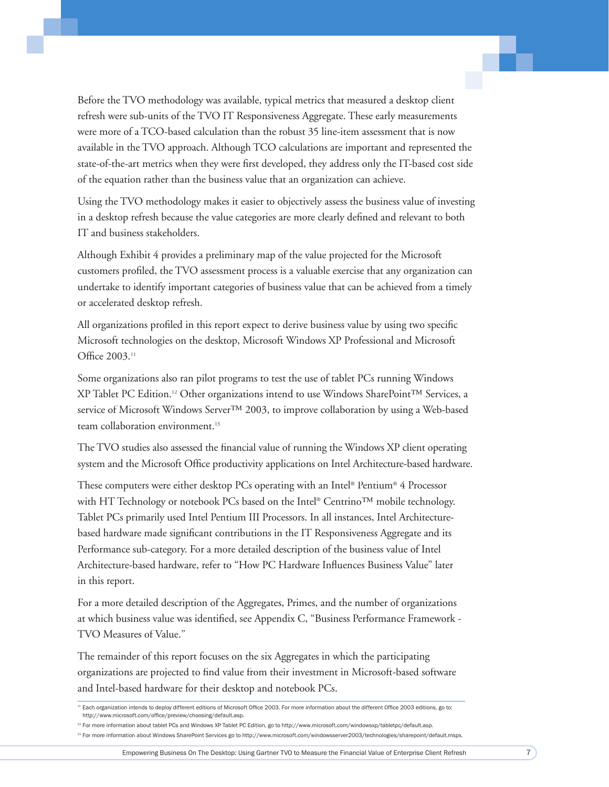Before the TVO methodology was available, typical metrics that measured a desktop client refresh were sub-units of the TVO IT Responsiveness Aggregate. These early measurements were more of a TCO-based calculation than the robust 35 line-item assessment that is now available in the TVO approach. Although TCO calculations are important and represented the state-of-the-art metrics when they were first developed, they address only the IT-based cost side of the equation rather than the business value that an organization can achieve.

Using the TVO methodology makes it easier to objectively assess the business value of investing in a desktop refresh because the value categories are more clearly defined and relevant to both IT and business stakeholders.

Although Exhibit 4 provides a preliminary map of the value projected for the Microsoft customers profiled, the TVO assessment process is a valuable exercise that any organization can undertake to identify important categories of business value that can be achieved from a timely or accelerated desktop refresh.

All organizations profiled in this report expect to derive business value by using two specific Microsoft technologies on the desktop, Microsoft Windows XP Professional and Microsoft Office 2003.<sup>11</sup>

Some organizations also ran pilot programs to test the use of tablet PCs running Windows XP Tablet PC Edition.12 Other organizations intend to use Windows SharePoint™ Services, a service of Microsoft Windows Server™ 2003, to improve collaboration by using a Web-based team collaboration environment.<sup>13</sup>

The TVO studies also assessed the financial value of running the Windows XP client operating system and the Microsoft Office productivity applications on Intel Architecture-based hardware.

These computers were either desktop PCs operating with an Intel® Pentium® 4 Processor with HT Technology or notebook PCs based on the Intel® Centrino™ mobile technology. Tablet PCs primarily used Intel Pentium III Processors. In all instances, Intel Architecturebased hardware made significant contributions in the IT Responsiveness Aggregate and its Performance sub-category. For a more detailed description of the business value of Intel Architecture-based hardware, refer to "How PC Hardware Influences Business Value" later in this report.

For a more detailed description of the Aggregates, Primes, and the number of organizations at which business value was identified, see Appendix C, "Business Performance Framework -TVO Measures of Value."

The remainder of this report focuses on the six Aggregates in which the participating organizations are projected to find value from their investment in Microsoft-based software and Intel-based hardware for their desktop and notebook PCs.

Empowering Business On The Desktop: Using Gartner TVO to Measure the Financial Value of Enterprise Client Refresh 7

<sup>&</sup>lt;sup>11</sup> Each organization intends to deploy different editions of Microsoft Office 2003. For more information about the different Office 2003 editions, go to: http://www.microsoft.com/office/preview/choosing/default.asp.

<sup>12</sup> For more information about tablet PCs and Windows XP Tablet PC Edition, go to http://www.microsoft.com/windowsxp/tabletpc/default.asp.

<sup>&</sup>lt;sup>13</sup> For more information about Windows SharePoint Services go to http://www.microsoft.com/windowsserver2003/technologies/sharepoint/default.mspx.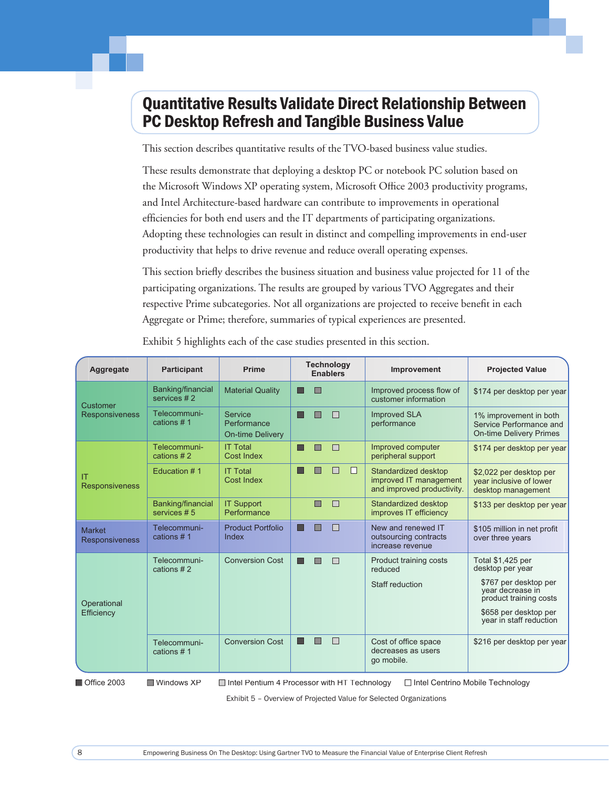## **Quantitative Results Validate Direct Relationship Between PC Desktop Refresh and Tangible Business Value**

This section describes quantitative results of the TVO-based business value studies.

These results demonstrate that deploying a desktop PC or notebook PC solution based on the Microsoft Windows XP operating system, Microsoft Office 2003 productivity programs, and Intel Architecture-based hardware can contribute to improvements in operational efficiencies for both end users and the IT departments of participating organizations. Adopting these technologies can result in distinct and compelling improvements in end-user productivity that helps to drive revenue and reduce overall operating expenses.

This section briefly describes the business situation and business value projected for 11 of the participating organizations. The results are grouped by various TVO Aggregates and their respective Prime subcategories. Not all organizations are projected to receive benefit in each Aggregate or Prime; therefore, summaries of typical experiences are presented.

| Aggregate                              | <b>Participant</b>               | <b>Prime</b>                                      |   | <b>Technology</b> | <b>Enablers</b> |        | Improvement                                                                  | <b>Projected Value</b>                                                              |
|----------------------------------------|----------------------------------|---------------------------------------------------|---|-------------------|-----------------|--------|------------------------------------------------------------------------------|-------------------------------------------------------------------------------------|
| Customer                               | Banking/financial<br>services #2 | <b>Material Quality</b>                           |   | П                 |                 |        | Improved process flow of<br>customer information                             | \$174 per desktop per year                                                          |
| <b>Responsiveness</b>                  | Telecommuni-<br>cations #1       | Service<br>Performance<br><b>On-time Delivery</b> |   |                   | П               |        | <b>Improved SLA</b><br>performance                                           | 1% improvement in both<br>Service Performance and<br><b>On-time Delivery Primes</b> |
|                                        | Telecommuni-<br>cations #2       | <b>IT Total</b><br><b>Cost Index</b>              | u | П                 | П               |        | Improved computer<br>peripheral support                                      | \$174 per desktop per year                                                          |
| IT<br><b>Responsiveness</b>            | Education #1                     | <b>IT Total</b><br>Cost Index                     | П |                   | П               | $\Box$ | Standardized desktop<br>improved IT management<br>and improved productivity. | \$2,022 per desktop per<br>year inclusive of lower<br>desktop management            |
|                                        | Banking/financial<br>services #5 | <b>IT Support</b><br>Performance                  |   | ▣                 | $\Box$          |        | Standardized desktop<br>improves IT efficiency                               | \$133 per desktop per year                                                          |
| <b>Market</b><br><b>Responsiveness</b> | Telecommuni-<br>cations #1       | <b>Product Portfolio</b><br>Index                 | H | П                 | П               |        | New and renewed IT<br>outsourcing contracts<br>increase revenue              | \$105 million in net profit<br>over three years                                     |
|                                        | Telecommuni-<br>cations #2       | <b>Conversion Cost</b>                            |   |                   | П               |        | Product training costs<br>reduced                                            | Total \$1,425 per<br>desktop per year                                               |
| Operational                            |                                  |                                                   |   |                   |                 |        | Staff reduction                                                              | \$767 per desktop per<br>year decrease in<br>product training costs                 |
| Efficiency                             |                                  |                                                   |   |                   |                 |        |                                                                              | \$658 per desktop per<br>year in staff reduction                                    |
|                                        | Telecommuni-<br>cations #1       | <b>Conversion Cost</b>                            | ш | П                 | П               |        | Cost of office space<br>decreases as users<br>go mobile.                     | \$216 per desktop per year                                                          |
| Office 2003                            | ■ Windows XP                     | □ Intel Pentium 4 Processor with HT Technology    |   |                   |                 |        | □ Intel Centrino Mobile Technology                                           |                                                                                     |

Exhibit 5 highlights each of the case studies presented in this section.

Office 2003

Intel Pentium 4 Processor with HT Technology

□ Intel Centrino Mobile Technology

Exhibit 5 - Overview of Projected Value for Selected Organizations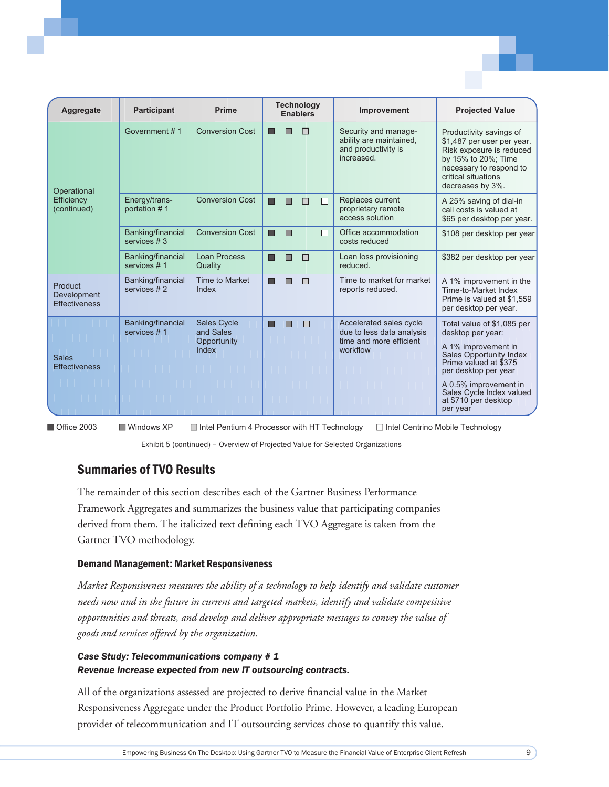| Aggregate                                      | <b>Participant</b>               | Prime                               | <b>Technology</b><br><b>Enablers</b>                                                                   | Improvement                                                                          | <b>Projected Value</b>                                                                                                                                                         |
|------------------------------------------------|----------------------------------|-------------------------------------|--------------------------------------------------------------------------------------------------------|--------------------------------------------------------------------------------------|--------------------------------------------------------------------------------------------------------------------------------------------------------------------------------|
| Operational                                    | Government #1                    | <b>Conversion Cost</b>              | П                                                                                                      | Security and manage-<br>ability are maintained,<br>and productivity is<br>increased. | Productivity savings of<br>\$1,487 per user per year.<br>Risk exposure is reduced<br>by 15% to 20%; Time<br>necessary to respond to<br>critical situations<br>decreases by 3%. |
| Efficiency<br>(continued)                      | Energy/trans-<br>portation #1    | <b>Conversion Cost</b>              | П<br>П                                                                                                 | Replaces current<br>proprietary remote<br>access solution                            | A 25% saving of dial-in<br>call costs is valued at<br>\$65 per desktop per year.                                                                                               |
|                                                | Banking/financial<br>services #3 | <b>Conversion Cost</b>              | П                                                                                                      | Office accommodation<br>costs reduced                                                | \$108 per desktop per year                                                                                                                                                     |
|                                                | Banking/financial<br>services #1 | <b>Loan Process</b><br>Quality      | $\Box$                                                                                                 | Loan loss provisioning<br>reduced.                                                   | \$382 per desktop per year                                                                                                                                                     |
| Product<br>Development<br><b>Effectiveness</b> | Banking/financial<br>services #2 | Time to Market<br>Index             |                                                                                                        | Time to market for market<br>reports reduced.                                        | A 1% improvement in the<br><b>Time-to-Market Index</b><br>Prime is valued at \$1,559<br>per desktop per year.                                                                  |
|                                                | Banking/financial<br>services #1 | <b>Sales Cycle</b><br>and Sales     |                                                                                                        | Accelerated sales cycle<br>due to less data analysis                                 | Total value of \$1,085 per<br>desktop per year:                                                                                                                                |
| <b>Sales</b><br><b>Effectiveness</b>           | Opportunity<br>Index             | time and more efficient<br>workflow | A 1% improvement in<br><b>Sales Opportunity Index</b><br>Prime valued at \$375<br>per desktop per year |                                                                                      |                                                                                                                                                                                |
|                                                |                                  |                                     |                                                                                                        |                                                                                      | A 0.5% improvement in<br>Sales Cycle Index valued<br>at \$710 per desktop<br>per year                                                                                          |

Office 2003 Windows XP Intel Pentium 4 Processor with HT Technology □ Intel Centrino Mobile Technology

Exhibit 5 (continued) - Overview of Projected Value for Selected Organizations

### **Summaries of TVO Results**

The remainder of this section describes each of the Gartner Business Performance Framework Aggregates and summarizes the business value that participating companies derived from them. The italicized text defining each TVO Aggregate is taken from the Gartner TVO methodology.

#### **Demand Management: Market Responsiveness**

Market Responsiveness measures the ability of a technology to help identify and validate customer needs now and in the future in current and targeted markets, identify and validate competitive opportunities and threats, and develop and deliver appropriate messages to convey the value of goods and services offered by the organization.

#### Case Study: Telecommunications company # 1 Revenue increase expected from new IT outsourcing contracts.

All of the organizations assessed are projected to derive financial value in the Market Responsiveness Aggregate under the Product Portfolio Prime. However, a leading European provider of telecommunication and IT outsourcing services chose to quantify this value.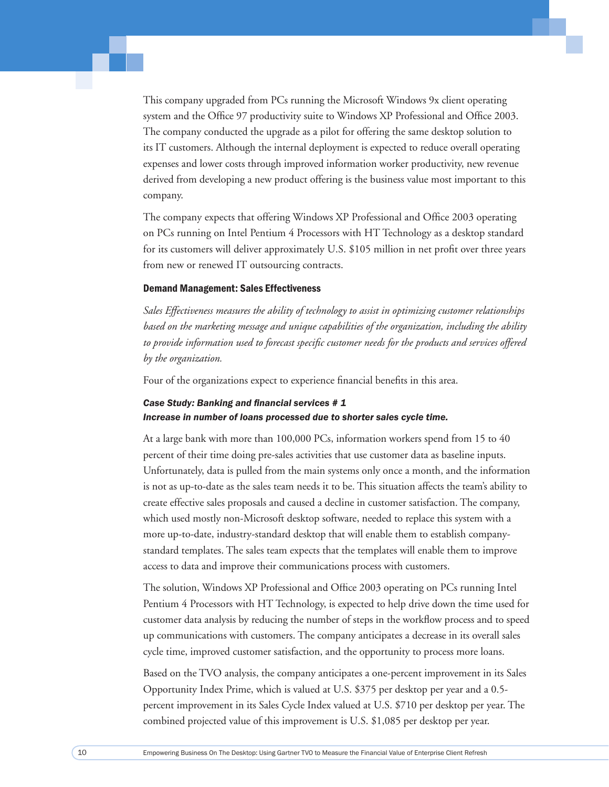This company upgraded from PCs running the Microsoft Windows 9x client operating system and the Office 97 productivity suite to Windows XP Professional and Office 2003. The company conducted the upgrade as a pilot for offering the same desktop solution to its IT customers. Although the internal deployment is expected to reduce overall operating expenses and lower costs through improved information worker productivity, new revenue derived from developing a new product offering is the business value most important to this company.

The company expects that offering Windows XP Professional and Office 2003 operating on PCs running on Intel Pentium 4 Processors with HT Technology as a desktop standard for its customers will deliver approximately U.S. \$105 million in net profit over three years from new or renewed IT outsourcing contracts.

#### Demand Management: Sales Effectiveness

*Sales Effectiveness measures the ability of technology to assist in optimizing customer relationships based on the marketing message and unique capabilities of the organization, including the ability*  to provide information used to forecast specific customer needs for the products and services offered *by the organization.* 

Four of the organizations expect to experience financial benefits in this area.

#### **Case Study: Banking and financial services #1** *Increase in number of loans processed due to shorter sales cycle time.*

At a large bank with more than 100,000 PCs, information workers spend from 15 to 40 percent of their time doing pre-sales activities that use customer data as baseline inputs. Unfortunately, data is pulled from the main systems only once a month, and the information is not as up-to-date as the sales team needs it to be. This situation affects the team's ability to create effective sales proposals and caused a decline in customer satisfaction. The company, which used mostly non-Microsoft desktop software, needed to replace this system with a more up-to-date, industry-standard desktop that will enable them to establish companystandard templates. The sales team expects that the templates will enable them to improve access to data and improve their communications process with customers.

The solution, Windows XP Professional and Office 2003 operating on PCs running Intel Pentium 4 Processors with HT Technology, is expected to help drive down the time used for customer data analysis by reducing the number of steps in the workflow process and to speed up communications with customers. The company anticipates a decrease in its overall sales cycle time, improved customer satisfaction, and the opportunity to process more loans.

Based on the TVO analysis, the company anticipates a one-percent improvement in its Sales Opportunity Index Prime, which is valued at U.S. \$375 per desktop per year and a 0.5 percent improvement in its Sales Cycle Index valued at U.S. \$710 per desktop per year. The combined projected value of this improvement is U.S. \$1,085 per desktop per year.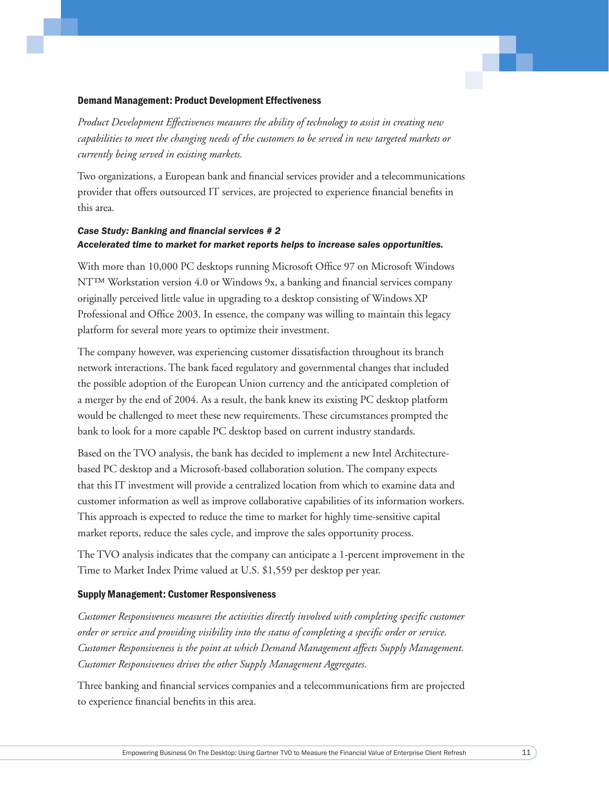#### Demand Management: Product Development Effectiveness

*Product Development Effectiveness measures the ability of technology to assist in creating new capabilities to meet the changing needs of the customers to be served in new targeted markets or currently being served in existing markets.* 

Two organizations, a European bank and financial services provider and a telecommunications provider that offers outsourced IT services, are projected to experience financial benefits in this area.

#### **Case Study: Banking and financial services # 2** *Accelerated time to market for market reports helps to increase sales opportunities.*

With more than 10,000 PC desktops running Microsoft Office 97 on Microsoft Windows NT<sup>™</sup> Workstation version 4.0 or Windows 9x, a banking and financial services company originally perceived little value in upgrading to a desktop consisting of Windows XP Professional and Office 2003. In essence, the company was willing to maintain this legacy platform for several more years to optimize their investment.

The company however, was experiencing customer dissatisfaction throughout its branch network interactions. The bank faced regulatory and governmental changes that included the possible adoption of the European Union currency and the anticipated completion of a merger by the end of 2004. As a result, the bank knew its existing PC desktop platform would be challenged to meet these new requirements. These circumstances prompted the bank to look for a more capable PC desktop based on current industry standards.

Based on the TVO analysis, the bank has decided to implement a new Intel Architecturebased PC desktop and a Microsoft-based collaboration solution. The company expects that this IT investment will provide a centralized location from which to examine data and customer information as well as improve collaborative capabilities of its information workers. This approach is expected to reduce the time to market for highly time-sensitive capital market reports, reduce the sales cycle, and improve the sales opportunity process.

The TVO analysis indicates that the company can anticipate a 1-percent improvement in the Time to Market Index Prime valued at U.S. \$1,559 per desktop per year.

#### Supply Management: Customer Responsiveness

*Customer Responsiveness measures the activities directly involved with completing specifi c customer order or service and providing visibility into the status of completing a specifi c order or service. Customer Responsiveness is the point at which Demand Management affects Supply Management. Customer Responsiveness drives the other Supply Management Aggregates.* 

Three banking and financial services companies and a telecommunications firm are projected to experience financial benefits in this area.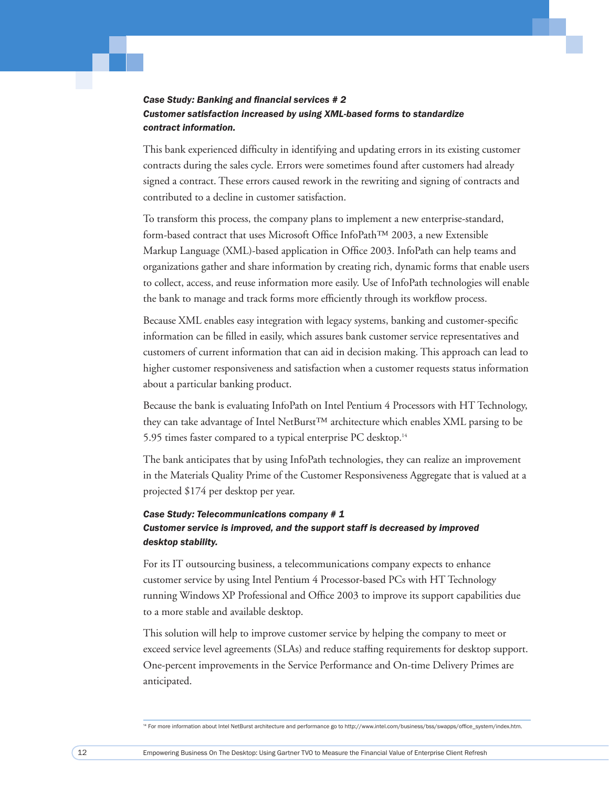#### **Case Study: Banking and financial services #2** *Customer satisfaction increased by using XML-based forms to standardize contract information.*

This bank experienced difficulty in identifying and updating errors in its existing customer contracts during the sales cycle. Errors were sometimes found after customers had already signed a contract. These errors caused rework in the rewriting and signing of contracts and contributed to a decline in customer satisfaction.

To transform this process, the company plans to implement a new enterprise-standard, form-based contract that uses Microsoft Office InfoPath™ 2003, a new Extensible Markup Language (XML)-based application in Office 2003. InfoPath can help teams and organizations gather and share information by creating rich, dynamic forms that enable users to collect, access, and reuse information more easily. Use of InfoPath technologies will enable the bank to manage and track forms more efficiently through its workflow process.

Because XML enables easy integration with legacy systems, banking and customer-specific information can be filled in easily, which assures bank customer service representatives and customers of current information that can aid in decision making. This approach can lead to higher customer responsiveness and satisfaction when a customer requests status information about a particular banking product.

Because the bank is evaluating InfoPath on Intel Pentium 4 Processors with HT Technology, they can take advantage of Intel NetBurst™ architecture which enables XML parsing to be 5.95 times faster compared to a typical enterprise PC desktop.14

The bank anticipates that by using InfoPath technologies, they can realize an improvement in the Materials Quality Prime of the Customer Responsiveness Aggregate that is valued at a projected \$174 per desktop per year.

#### *Case Study: Telecommunications company # 1 Customer service is improved, and the support staff is decreased by improved desktop stability.*

For its IT outsourcing business, a telecommunications company expects to enhance customer service by using Intel Pentium 4 Processor-based PCs with HT Technology running Windows XP Professional and Office 2003 to improve its support capabilities due to a more stable and available desktop.

This solution will help to improve customer service by helping the company to meet or exceed service level agreements (SLAs) and reduce staffing requirements for desktop support. One-percent improvements in the Service Performance and On-time Delivery Primes are anticipated.

14 For more information about Intel NetBurst architecture and performance go to http://www.intel.com/business/bss/swapps/office\_system/index.htm.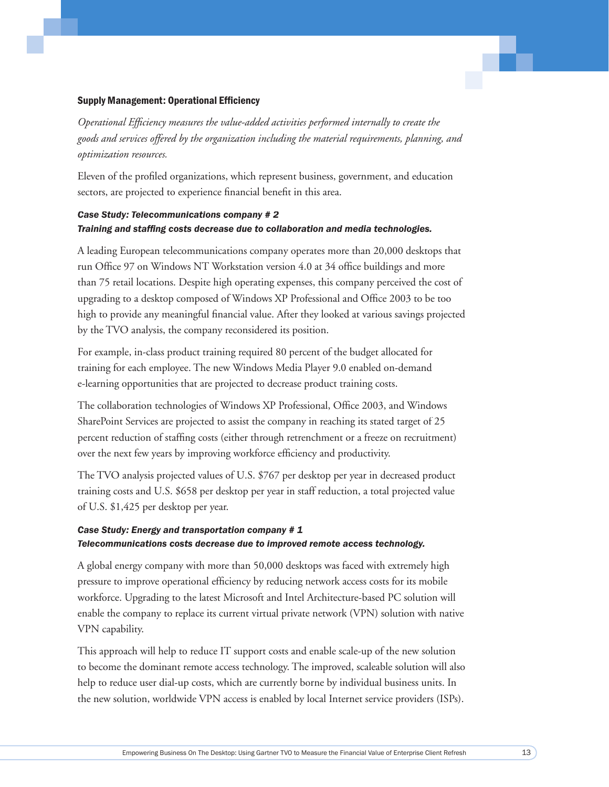#### Supply Management: Operational Efficiency

*Operational Effi ciency measures the value-added activities performed internally to create the goods and services offered by the organization including the material requirements, planning, and optimization resources.* 

Eleven of the profiled organizations, which represent business, government, and education sectors, are projected to experience financial benefit in this area.

#### *Case Study: Telecommunications company # 2 Training and staffi ng costs decrease due to collaboration and media technologies.*

A leading European telecommunications company operates more than 20,000 desktops that run Office 97 on Windows NT Workstation version 4.0 at 34 office buildings and more than 75 retail locations. Despite high operating expenses, this company perceived the cost of upgrading to a desktop composed of Windows XP Professional and Office 2003 to be too high to provide any meaningful financial value. After they looked at various savings projected by the TVO analysis, the company reconsidered its position.

For example, in-class product training required 80 percent of the budget allocated for training for each employee. The new Windows Media Player 9.0 enabled on-demand e-learning opportunities that are projected to decrease product training costs.

The collaboration technologies of Windows XP Professional, Office 2003, and Windows SharePoint Services are projected to assist the company in reaching its stated target of 25 percent reduction of staffing costs (either through retrenchment or a freeze on recruitment) over the next few years by improving workforce efficiency and productivity.

The TVO analysis projected values of U.S. \$767 per desktop per year in decreased product training costs and U.S. \$658 per desktop per year in staff reduction, a total projected value of U.S. \$1,425 per desktop per year.

#### *Case Study: Energy and transportation company # 1 Telecommunications costs decrease due to improved remote access technology.*

A global energy company with more than 50,000 desktops was faced with extremely high pressure to improve operational efficiency by reducing network access costs for its mobile workforce. Upgrading to the latest Microsoft and Intel Architecture-based PC solution will enable the company to replace its current virtual private network (VPN) solution with native VPN capability.

This approach will help to reduce IT support costs and enable scale-up of the new solution to become the dominant remote access technology. The improved, scaleable solution will also help to reduce user dial-up costs, which are currently borne by individual business units. In the new solution, worldwide VPN access is enabled by local Internet service providers (ISPs).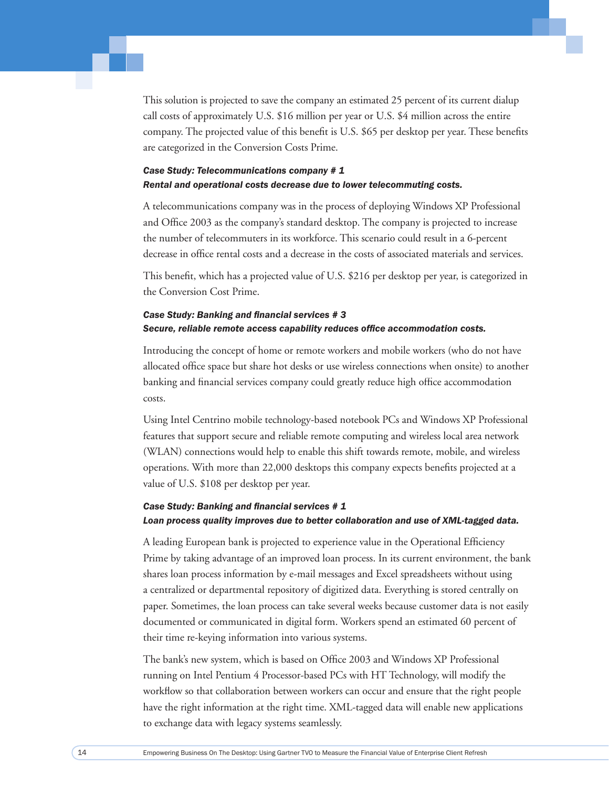This solution is projected to save the company an estimated 25 percent of its current dialup call costs of approximately U.S. \$16 million per year or U.S. \$4 million across the entire company. The projected value of this benefit is U.S. \$65 per desktop per year. These benefits are categorized in the Conversion Costs Prime.

#### *Case Study: Telecommunications company # 1 Rental and operational costs decrease due to lower telecommuting costs.*

A telecommunications company was in the process of deploying Windows XP Professional and Office 2003 as the company's standard desktop. The company is projected to increase the number of telecommuters in its workforce. This scenario could result in a 6-percent decrease in office rental costs and a decrease in the costs of associated materials and services.

This benefit, which has a projected value of U.S. \$216 per desktop per year, is categorized in the Conversion Cost Prime.

#### **Case Study: Banking and financial services #3** Secure, reliable remote access capability reduces office accommodation costs.

Introducing the concept of home or remote workers and mobile workers (who do not have allocated office space but share hot desks or use wireless connections when onsite) to another banking and financial services company could greatly reduce high office accommodation costs.

Using Intel Centrino mobile technology-based notebook PCs and Windows XP Professional features that support secure and reliable remote computing and wireless local area network (WLAN) connections would help to enable this shift towards remote, mobile, and wireless operations. With more than 22,000 desktops this company expects benefits projected at a value of U.S. \$108 per desktop per year.

#### **Case Study: Banking and financial services #1** *Loan process quality improves due to better collaboration and use of XML-tagged data.*

A leading European bank is projected to experience value in the Operational Efficiency Prime by taking advantage of an improved loan process. In its current environment, the bank shares loan process information by e-mail messages and Excel spreadsheets without using a centralized or departmental repository of digitized data. Everything is stored centrally on paper. Sometimes, the loan process can take several weeks because customer data is not easily documented or communicated in digital form. Workers spend an estimated 60 percent of their time re-keying information into various systems.

The bank's new system, which is based on Office 2003 and Windows XP Professional running on Intel Pentium 4 Processor-based PCs with HT Technology, will modify the workflow so that collaboration between workers can occur and ensure that the right people have the right information at the right time. XML-tagged data will enable new applications to exchange data with legacy systems seamlessly.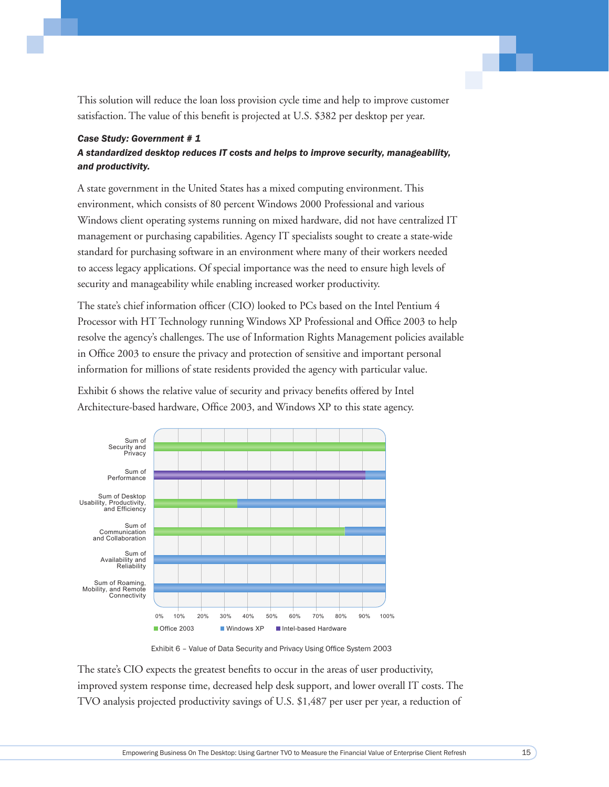This solution will reduce the loan loss provision cycle time and help to improve customer satisfaction. The value of this benefit is projected at U.S. \$382 per desktop per year.

#### **Case Study: Government # 1** A standardized desktop reduces IT costs and helps to improve security, manageability, and productivity.

A state government in the United States has a mixed computing environment. This environment, which consists of 80 percent Windows 2000 Professional and various Windows client operating systems running on mixed hardware, did not have centralized IT management or purchasing capabilities. Agency IT specialists sought to create a state-wide standard for purchasing software in an environment where many of their workers needed to access legacy applications. Of special importance was the need to ensure high levels of security and manageability while enabling increased worker productivity.

The state's chief information officer (CIO) looked to PCs based on the Intel Pentium 4 Processor with HT Technology running Windows XP Professional and Office 2003 to help resolve the agency's challenges. The use of Information Rights Management policies available in Office 2003 to ensure the privacy and protection of sensitive and important personal information for millions of state residents provided the agency with particular value.

Exhibit 6 shows the relative value of security and privacy benefits offered by Intel Architecture-based hardware, Office 2003, and Windows XP to this state agency.



Exhibit 6 - Value of Data Security and Privacy Using Office System 2003

The state's CIO expects the greatest benefits to occur in the areas of user productivity, improved system response time, decreased help desk support, and lower overall IT costs. The TVO analysis projected productivity savings of U.S. \$1,487 per user per year, a reduction of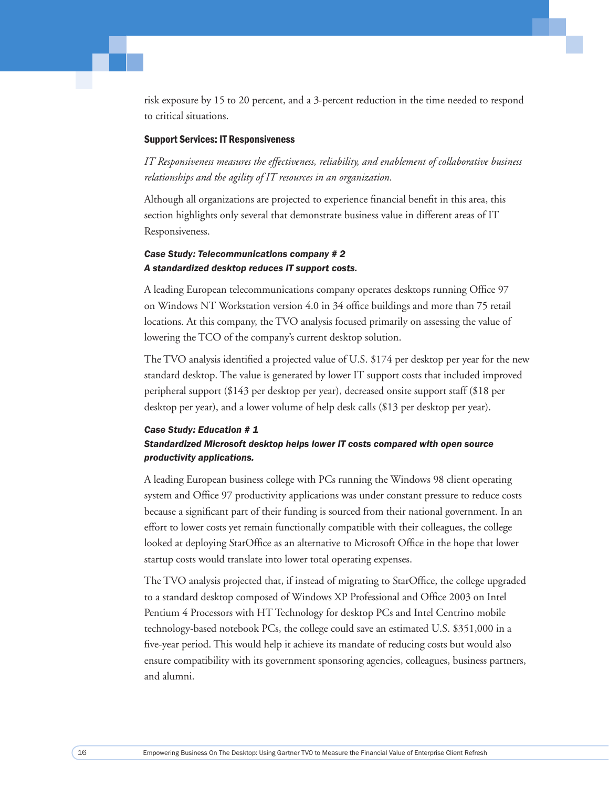risk exposure by 15 to 20 percent, and a 3-percent reduction in the time needed to respond to critical situations.

#### Support Services: IT Responsiveness

*IT Responsiveness measures the effectiveness, reliability, and enablement of collaborative business relationships and the agility of IT resources in an organization.* 

Although all organizations are projected to experience financial benefit in this area, this section highlights only several that demonstrate business value in different areas of IT Responsiveness.

#### *Case Study: Telecommunications company # 2 A standardized desktop reduces IT support costs.*

A leading European telecommunications company operates desktops running Office 97 on Windows NT Workstation version 4.0 in 34 office buildings and more than 75 retail locations. At this company, the TVO analysis focused primarily on assessing the value of lowering the TCO of the company's current desktop solution.

The TVO analysis identified a projected value of U.S. \$174 per desktop per year for the new standard desktop. The value is generated by lower IT support costs that included improved peripheral support (\$143 per desktop per year), decreased onsite support staff (\$18 per desktop per year), and a lower volume of help desk calls (\$13 per desktop per year).

#### *Case Study: Education # 1*

#### *Standardized Microsoft desktop helps lower IT costs compared with open source productivity applications.*

A leading European business college with PCs running the Windows 98 client operating system and Office 97 productivity applications was under constant pressure to reduce costs because a significant part of their funding is sourced from their national government. In an effort to lower costs yet remain functionally compatible with their colleagues, the college looked at deploying StarOffice as an alternative to Microsoft Office in the hope that lower startup costs would translate into lower total operating expenses.

The TVO analysis projected that, if instead of migrating to StarOffice, the college upgraded to a standard desktop composed of Windows XP Professional and Office 2003 on Intel Pentium 4 Processors with HT Technology for desktop PCs and Intel Centrino mobile technology-based notebook PCs, the college could save an estimated U.S. \$351,000 in a five-year period. This would help it achieve its mandate of reducing costs but would also ensure compatibility with its government sponsoring agencies, colleagues, business partners, and alumni.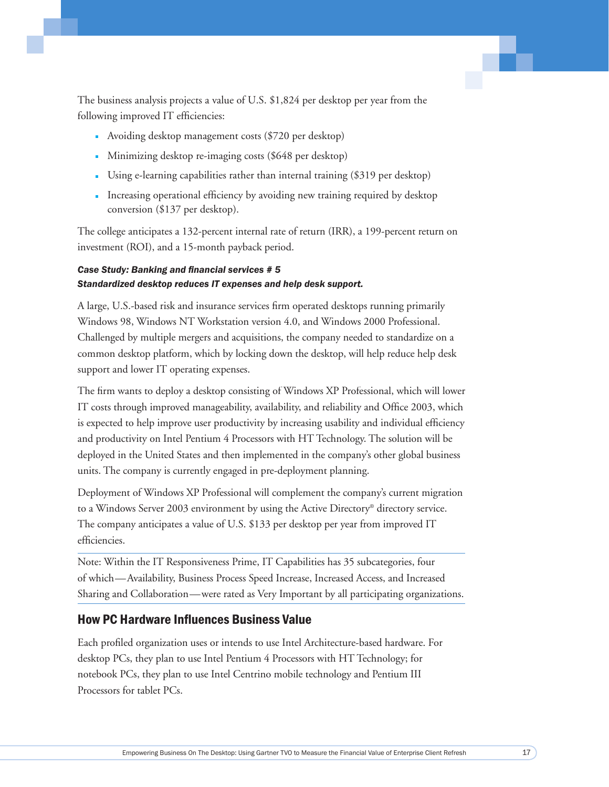The business analysis projects a value of U.S. \$1,824 per desktop per year from the following improved IT efficiencies:

- Avoiding desktop management costs (\$720 per desktop)
- Minimizing desktop re-imaging costs (\$648 per desktop)
- Using e-learning capabilities rather than internal training (\$319 per desktop)
- Increasing operational efficiency by avoiding new training required by desktop conversion (\$137 per desktop).

The college anticipates a 132-percent internal rate of return (IRR), a 199-percent return on investment (ROI), and a 15-month payback period.

#### **Case Study: Banking and financial services # 5** *Standardized desktop reduces IT expenses and help desk support.*

A large, U.S.-based risk and insurance services firm operated desktops running primarily Windows 98, Windows NT Workstation version 4.0, and Windows 2000 Professional. Challenged by multiple mergers and acquisitions, the company needed to standardize on a common desktop platform, which by locking down the desktop, will help reduce help desk support and lower IT operating expenses.

The firm wants to deploy a desktop consisting of Windows XP Professional, which will lower IT costs through improved manageability, availability, and reliability and Office 2003, which is expected to help improve user productivity by increasing usability and individual efficiency and productivity on Intel Pentium 4 Processors with HT Technology. The solution will be deployed in the United States and then implemented in the company's other global business units. The company is currently engaged in pre-deployment planning.

Deployment of Windows XP Professional will complement the company's current migration to a Windows Server 2003 environment by using the Active Directory® directory service. The company anticipates a value of U.S. \$133 per desktop per year from improved IT efficiencies.

Note: Within the IT Responsiveness Prime, IT Capabilities has 35 subcategories, four of which—Availability, Business Process Speed Increase, Increased Access, and Increased Sharing and Collaboration—were rated as Very Important by all participating organizations.

#### **How PC Hardware Influences Business Value**

Each profiled organization uses or intends to use Intel Architecture-based hardware. For desktop PCs, they plan to use Intel Pentium 4 Processors with HT Technology; for notebook PCs, they plan to use Intel Centrino mobile technology and Pentium III Processors for tablet PCs.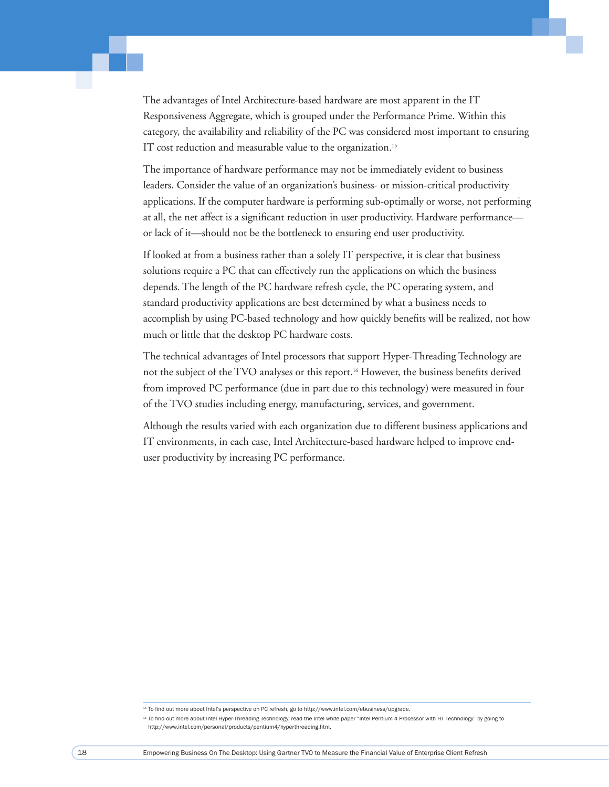The advantages of Intel Architecture-based hardware are most apparent in the IT Responsiveness Aggregate, which is grouped under the Performance Prime. Within this category, the availability and reliability of the PC was considered most important to ensuring IT cost reduction and measurable value to the organization.<sup>15</sup>

The importance of hardware performance may not be immediately evident to business leaders. Consider the value of an organization's business- or mission-critical productivity applications. If the computer hardware is performing sub-optimally or worse, not performing at all, the net affect is a significant reduction in user productivity. Hardware performance or lack of it—should not be the bottleneck to ensuring end user productivity.

If looked at from a business rather than a solely IT perspective, it is clear that business solutions require a PC that can effectively run the applications on which the business depends. The length of the PC hardware refresh cycle, the PC operating system, and standard productivity applications are best determined by what a business needs to accomplish by using PC-based technology and how quickly benefits will be realized, not how much or little that the desktop PC hardware costs.

The technical advantages of Intel processors that support Hyper-Threading Technology are not the subject of the TVO analyses or this report.<sup>16</sup> However, the business benefits derived from improved PC performance (due in part due to this technology) were measured in four of the TVO studies including energy, manufacturing, services, and government.

Although the results varied with each organization due to different business applications and IT environments, in each case, Intel Architecture-based hardware helped to improve enduser productivity by increasing PC performance.

<sup>&</sup>lt;sup>15</sup> To find out more about Intel's perspective on PC refresh, go to http://www.intel.com/ebusiness/upgrade.

<sup>&</sup>lt;sup>16</sup> To find out more about Intel Hyper-Threading Technology, read the Intel white paper "Intel Pentium 4 Processor with HT Technology" by going to http://www.intel.com/personal/products/pentium4/hyperthreading.htm.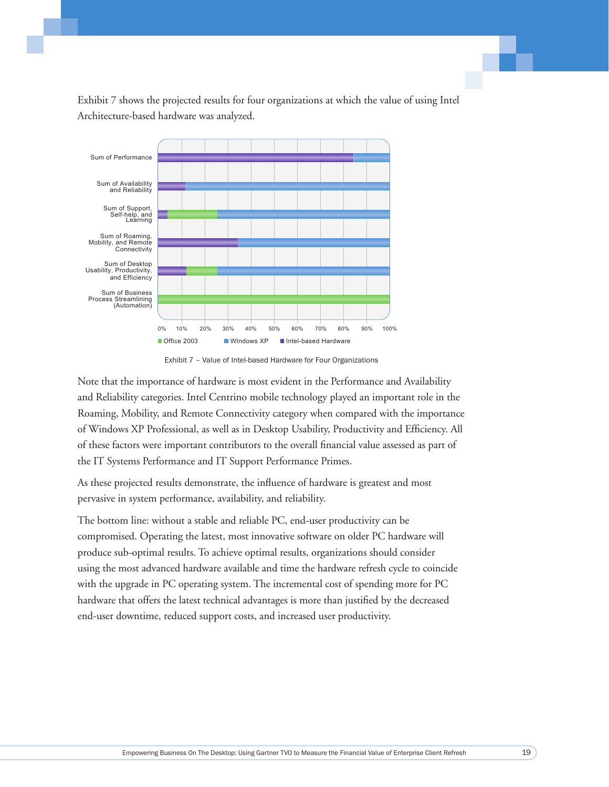Exhibit 7 shows the projected results for four organizations at which the value of using Intel Architecture-based hardware was analyzed.



Exhibit 7 - Value of Intel-based Hardware for Four Organizations

Note that the importance of hardware is most evident in the Performance and Availability and Reliability categories. Intel Centrino mobile technology played an important role in the Roaming, Mobility, and Remote Connectivity category when compared with the importance of Windows XP Professional, as well as in Desktop Usability, Productivity and Efficiency. All of these factors were important contributors to the overall financial value assessed as part of the IT Systems Performance and IT Support Performance Primes.

As these projected results demonstrate, the influence of hardware is greatest and most pervasive in system performance, availability, and reliability.

The bottom line: without a stable and reliable PC, end-user productivity can be compromised. Operating the latest, most innovative software on older PC hardware will produce sub-optimal results. To achieve optimal results, organizations should consider using the most advanced hardware available and time the hardware refresh cycle to coincide with the upgrade in PC operating system. The incremental cost of spending more for PC hardware that offers the latest technical advantages is more than justified by the decreased end-user downtime, reduced support costs, and increased user productivity.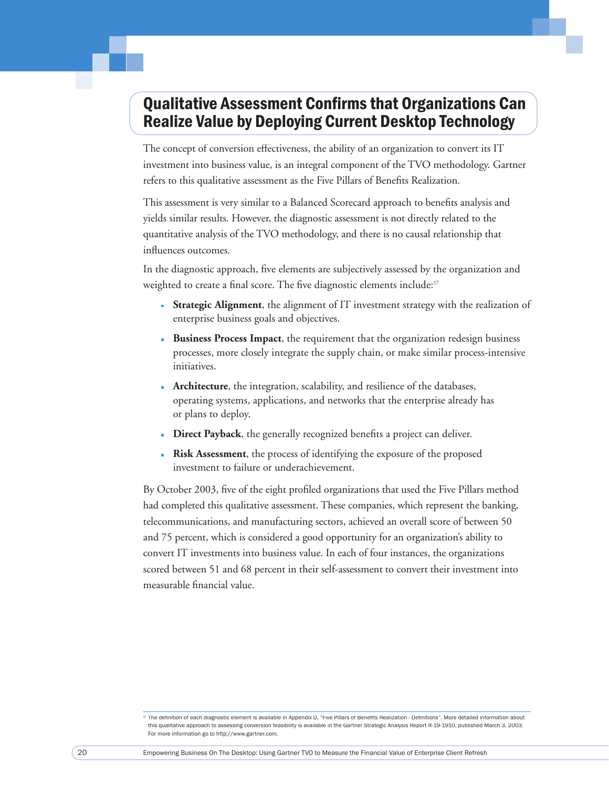## Qualitative Assessment Confirms that Organizations Can Realize Value by Deploying Current Desktop Technology

The concept of conversion effectiveness, the ability of an organization to convert its IT investment into business value, is an integral component of the TVO methodology. Gartner refers to this qualitative assessment as the Five Pillars of Benefits Realization.

This assessment is very similar to a Balanced Scorecard approach to benefits analysis and yields similar results. However, the diagnostic assessment is not directly related to the quantitative analysis of the TVO methodology, and there is no causal relationship that influences outcomes.

In the diagnostic approach, five elements are subjectively assessed by the organization and weighted to create a final score. The five diagnostic elements include:<sup>17</sup>

- **Strategic Alignment**, the alignment of IT investment strategy with the realization of enterprise business goals and objectives.
- **Business Process Impact**, the requirement that the organization redesign business processes, more closely integrate the supply chain, or make similar process-intensive initiatives.
- **Architecture**, the integration, scalability, and resilience of the databases, operating systems, applications, and networks that the enterprise already has or plans to deploy.
- **Direct Payback**, the generally recognized benefits a project can deliver.
- **Risk Assessment**, the process of identifying the exposure of the proposed investment to failure or underachievement.

By October 2003, five of the eight profiled organizations that used the Five Pillars method had completed this qualitative assessment. These companies, which represent the banking, telecommunications, and manufacturing sectors, achieved an overall score of between 50 and 75 percent, which is considered a good opportunity for an organization's ability to convert IT investments into business value. In each of four instances, the organizations scored between 51 and 68 percent in their self-assessment to convert their investment into measurable financial value.

<sup>&</sup>lt;sup>17</sup> The definition of each diagnostic element is available in Appendix D, "Five Pillars of Benefits Realization - Definitions". More detailed information about this qualitative approach to assessing conversion feasibility is available in the Gartner Strategic Analysis Report R-19-1910, published March 3, 2003. For more information go to http://www.gartner.com.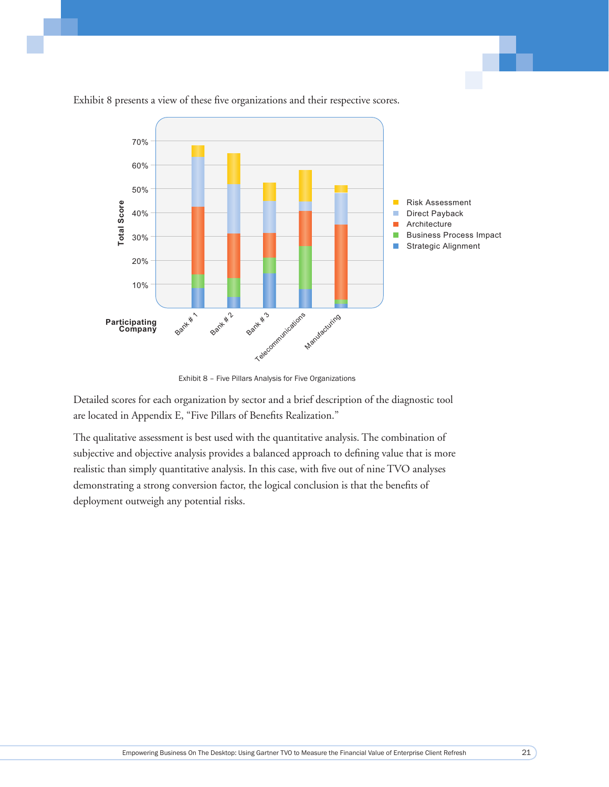

Exhibit 8 presents a view of these five organizations and their respective scores.

Exhibit 8 - Five Pillars Analysis for Five Organizations

Detailed scores for each organization by sector and a brief description of the diagnostic tool are located in Appendix E, "Five Pillars of Benefits Realization."

The qualitative assessment is best used with the quantitative analysis. The combination of subjective and objective analysis provides a balanced approach to defining value that is more realistic than simply quantitative analysis. In this case, with five out of nine TVO analyses demonstrating a strong conversion factor, the logical conclusion is that the benefits of deployment outweigh any potential risks.

 $21$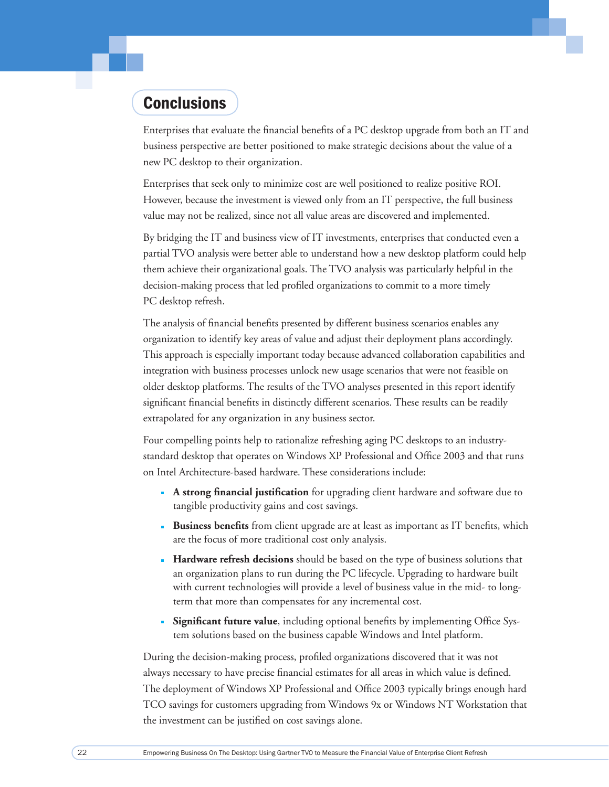## **Conclusions**

Enterprises that evaluate the financial benefits of a PC desktop upgrade from both an IT and business perspective are better positioned to make strategic decisions about the value of a new PC desktop to their organization.

Enterprises that seek only to minimize cost are well positioned to realize positive ROI. However, because the investment is viewed only from an IT perspective, the full business value may not be realized, since not all value areas are discovered and implemented.

By bridging the IT and business view of IT investments, enterprises that conducted even a partial TVO analysis were better able to understand how a new desktop platform could help them achieve their organizational goals. The TVO analysis was particularly helpful in the decision-making process that led profiled organizations to commit to a more timely PC desktop refresh.

The analysis of financial benefits presented by different business scenarios enables any organization to identify key areas of value and adjust their deployment plans accordingly. This approach is especially important today because advanced collaboration capabilities and integration with business processes unlock new usage scenarios that were not feasible on older desktop platforms. The results of the TVO analyses presented in this report identify significant financial benefits in distinctly different scenarios. These results can be readily extrapolated for any organization in any business sector.

Four compelling points help to rationalize refreshing aging PC desktops to an industrystandard desktop that operates on Windows XP Professional and Office 2003 and that runs on Intel Architecture-based hardware. These considerations include:

- **A strong financial justification** for upgrading client hardware and software due to tangible productivity gains and cost savings.
- **Business benefits** from client upgrade are at least as important as IT benefits, which are the focus of more traditional cost only analysis.
- **Hardware refresh decisions** should be based on the type of business solutions that an organization plans to run during the PC lifecycle. Upgrading to hardware built with current technologies will provide a level of business value in the mid- to longterm that more than compensates for any incremental cost.
- **Significant future value**, including optional benefits by implementing Office System solutions based on the business capable Windows and Intel platform.

During the decision-making process, profiled organizations discovered that it was not always necessary to have precise financial estimates for all areas in which value is defined. The deployment of Windows XP Professional and Office 2003 typically brings enough hard TCO savings for customers upgrading from Windows 9x or Windows NT Workstation that the investment can be justified on cost savings alone.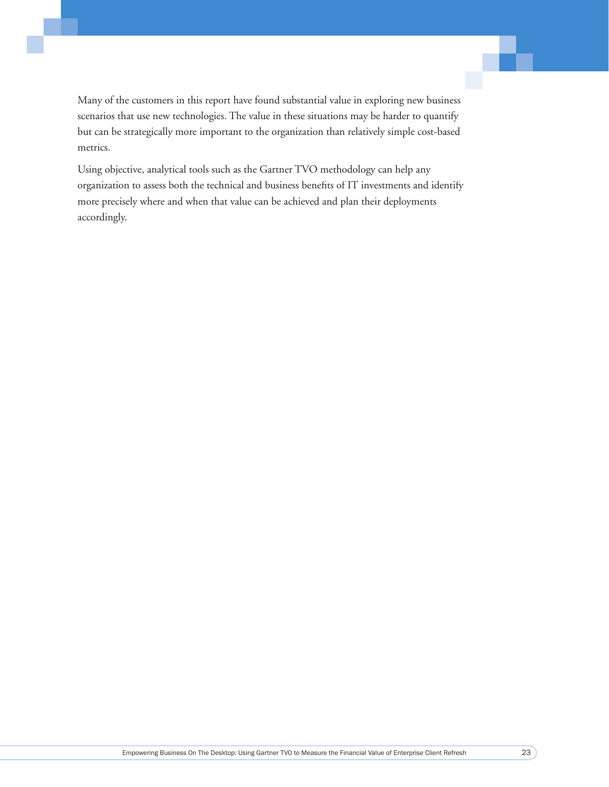Many of the customers in this report have found substantial value in exploring new business scenarios that use new technologies. The value in these situations may be harder to quantify but can be strategically more important to the organization than relatively simple cost-based metrics.

Using objective, analytical tools such as the Gartner TVO methodology can help any organization to assess both the technical and business benefits of IT investments and identify more precisely where and when that value can be achieved and plan their deployments accordingly.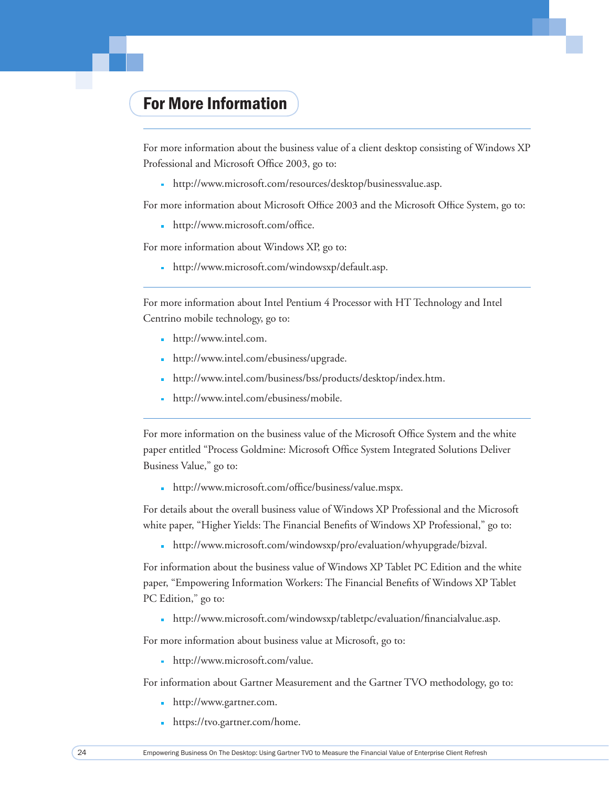## For More Information

For more information about the business value of a client desktop consisting of Windows XP Professional and Microsoft Office 2003, go to:

http://www.microsoft.com/resources/desktop/businessvalue.asp.

For more information about Microsoft Office 2003 and the Microsoft Office System, go to:

http://www.microsoft.com/office.

For more information about Windows XP, go to:

http://www.microsoft.com/windowsxp/default.asp.

For more information about Intel Pentium 4 Processor with HT Technology and Intel Centrino mobile technology, go to:

- http://www.intel.com.
- http://www.intel.com/ebusiness/upgrade.
- http://www.intel.com/business/bss/products/desktop/index.htm.
- http://www.intel.com/ebusiness/mobile.

For more information on the business value of the Microsoft Office System and the white paper entitled "Process Goldmine: Microsoft Office System Integrated Solutions Deliver Business Value," go to:

http://www.microsoft.com/office/business/value.mspx.

For details about the overall business value of Windows XP Professional and the Microsoft white paper, "Higher Yields: The Financial Benefits of Windows XP Professional," go to:

http://www.microsoft.com/windowsxp/pro/evaluation/whyupgrade/bizval.

For information about the business value of Windows XP Tablet PC Edition and the white paper, "Empowering Information Workers: The Financial Benefits of Windows XP Tablet PC Edition," go to:

http://www.microsoft.com/windowsxp/tabletpc/evaluation/financialvalue.asp.

For more information about business value at Microsoft, go to:

http://www.microsoft.com/value.

For information about Gartner Measurement and the Gartner TVO methodology, go to:

- http://www.gartner.com.
- https://tvo.gartner.com/home.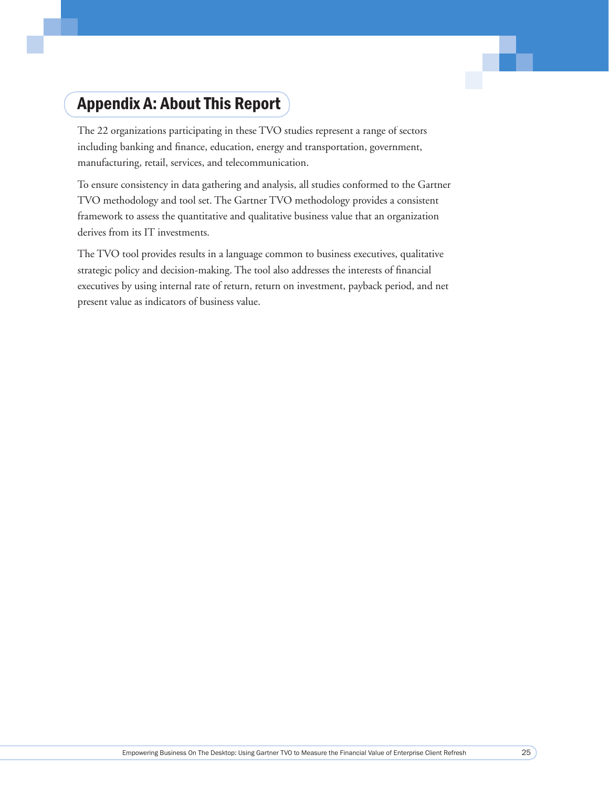## Appendix A: About This Report

The 22 organizations participating in these TVO studies represent a range of sectors including banking and finance, education, energy and transportation, government, manufacturing, retail, services, and telecommunication.

To ensure consistency in data gathering and analysis, all studies conformed to the Gartner TVO methodology and tool set. The Gartner TVO methodology provides a consistent framework to assess the quantitative and qualitative business value that an organization derives from its IT investments.

The TVO tool provides results in a language common to business executives, qualitative strategic policy and decision-making. The tool also addresses the interests of financial executives by using internal rate of return, return on investment, payback period, and net present value as indicators of business value.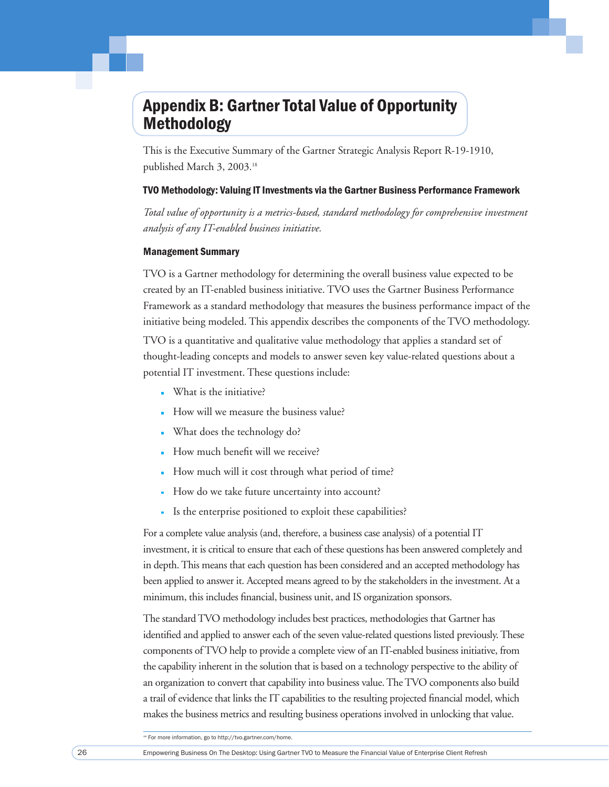## Appendix B: Gartner Total Value of Opportunity Methodology

This is the Executive Summary of the Gartner Strategic Analysis Report R-19-1910, published March 3, 2003.18

#### TVO Methodology: Valuing IT Investments via the Gartner Business Performance Framework

*Total value of opportunity is a metrics-based, standard methodology for comprehensive investment analysis of any IT-enabled business initiative.*

#### Management Summary

TVO is a Gartner methodology for determining the overall business value expected to be created by an IT-enabled business initiative. TVO uses the Gartner Business Performance Framework as a standard methodology that measures the business performance impact of the initiative being modeled. This appendix describes the components of the TVO methodology.

TVO is a quantitative and qualitative value methodology that applies a standard set of thought-leading concepts and models to answer seven key value-related questions about a potential IT investment. These questions include:

- What is the initiative?
- How will we measure the business value?
- What does the technology do?
- How much benefit will we receive?
- How much will it cost through what period of time?
- How do we take future uncertainty into account?
- Is the enterprise positioned to exploit these capabilities?

For a complete value analysis (and, therefore, a business case analysis) of a potential IT investment, it is critical to ensure that each of these questions has been answered completely and in depth. This means that each question has been considered and an accepted methodology has been applied to answer it. Accepted means agreed to by the stakeholders in the investment. At a minimum, this includes financial, business unit, and IS organization sponsors.

The standard TVO methodology includes best practices, methodologies that Gartner has identified and applied to answer each of the seven value-related questions listed previously. These components of TVO help to provide a complete view of an IT-enabled business initiative, from the capability inherent in the solution that is based on a technology perspective to the ability of an organization to convert that capability into business value. The TVO components also build a trail of evidence that links the IT capabilities to the resulting projected financial model, which makes the business metrics and resulting business operations involved in unlocking that value.

<sup>18</sup> For more information, go to http://tvo.gartner.com/home.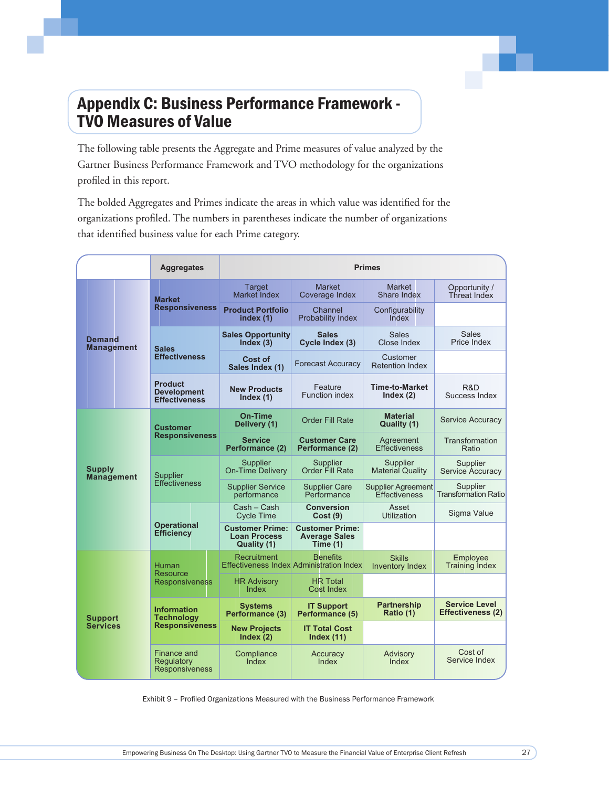## **Appendix C: Business Performance Framework -TVO Measures of Value**

The following table presents the Aggregate and Prime measures of value analyzed by the Gartner Business Performance Framework and TVO methodology for the organizations profiled in this report.

The bolded Aggregates and Primes indicate the areas in which value was identified for the organizations profiled. The numbers in parentheses indicate the number of organizations that identified business value for each Prime category.

|                                    | <b>Aggregates</b>                                            |                                                              | <b>Primes</b>                                                      |                                            |                                           |  |
|------------------------------------|--------------------------------------------------------------|--------------------------------------------------------------|--------------------------------------------------------------------|--------------------------------------------|-------------------------------------------|--|
|                                    | Market                                                       | Target<br><b>Market Index</b>                                | <b>Market</b><br>Coverage Index                                    | <b>Market</b><br>Share Index               | Opportunity /<br>Threat Index             |  |
|                                    | <b>Responsiveness</b>                                        | <b>Product Portfolio</b><br>index (1)                        | Channel<br>Probability Index                                       | Configurability<br>Index                   |                                           |  |
| <b>Demand</b><br><b>Management</b> | <b>Sales</b>                                                 | <b>Sales Opportunity</b><br>Index(3)                         | <b>Sales</b><br>Cycle Index (3)                                    | <b>Sales</b><br>Close Index                | <b>Sales</b><br>Price Index               |  |
|                                    | <b>Effectiveness</b>                                         | Cost of<br>Sales Index (1)                                   | <b>Forecast Accuracy</b>                                           | Customer<br><b>Retention Index</b>         |                                           |  |
|                                    | <b>Product</b><br><b>Development</b><br><b>Effectiveness</b> | <b>New Products</b><br>Index $(1)$                           | Feature<br><b>Function index</b>                                   | <b>Time-to-Market</b><br>Index $(2)$       | R&D<br>Success Index                      |  |
|                                    | <b>Customer</b>                                              | On-Time<br>Delivery (1)                                      | <b>Order Fill Rate</b>                                             | <b>Material</b><br>Quality (1)             | <b>Service Accuracy</b>                   |  |
|                                    | <b>Responsiveness</b>                                        | <b>Service</b><br>Performance (2)                            | <b>Customer Care</b><br>Performance (2)                            | Agreement<br>Effectiveness                 | Transformation<br>Ratio                   |  |
| Supply<br><b>Management</b>        | <b>Supplier</b><br><b>Effectiveness</b>                      | <b>Supplier</b><br><b>On-Time Delivery</b>                   | Supplier<br>Order Fill Rate                                        | Supplier<br><b>Material Quality</b>        | Supplier<br>Service Accuracy              |  |
|                                    |                                                              | <b>Supplier Service</b><br>performance                       | <b>Supplier Care</b><br>Performance                                | <b>Supplier Agreement</b><br>Effectiveness | Supplier<br><b>Transformation Ratio</b>   |  |
|                                    | Operational<br><b>Efficiency</b>                             | Cash - Cash<br><b>Cycle Time</b>                             | <b>Conversion</b><br>Cost(9)                                       | Asset<br><b>Utilization</b>                | Sigma Value                               |  |
|                                    |                                                              | <b>Customer Prime:</b><br><b>Loan Process</b><br>Quality (1) | <b>Customer Prime:</b><br><b>Average Sales</b><br>Time $(1)$       |                                            |                                           |  |
|                                    | <b>Human</b><br>Resource                                     | Recruitment                                                  | <b>Benefits</b><br><b>Effectiveness Index Administration Index</b> | <b>Skills</b><br><b>Inventory Index</b>    | Employee<br><b>Training Index</b>         |  |
| <b>Support</b><br><b>Services</b>  | Responsiveness                                               | <b>HR Advisory</b><br>Index                                  | <b>HR Total</b><br><b>Cost Index</b>                               |                                            |                                           |  |
|                                    | <b>Information</b><br><b>Technology</b>                      | <b>Systems</b><br>Performance (3)                            | <b>IT Support</b><br>Performance (5)                               | <b>Partnership</b><br>Ratio (1)            | <b>Service Level</b><br>Effectiveness (2) |  |
|                                    | <b>Responsiveness</b>                                        | <b>New Projects</b><br>Index (2)                             | <b>IT Total Cost</b><br>Index $(11)$                               |                                            |                                           |  |
|                                    | Finance and<br>Regulatory<br>Responsiveness                  | Compliance<br>Index                                          | Accuracy<br>Index                                                  | Advisory<br>Index                          | Cost of<br>Service Index                  |  |

Exhibit 9 - Profiled Organizations Measured with the Business Performance Framework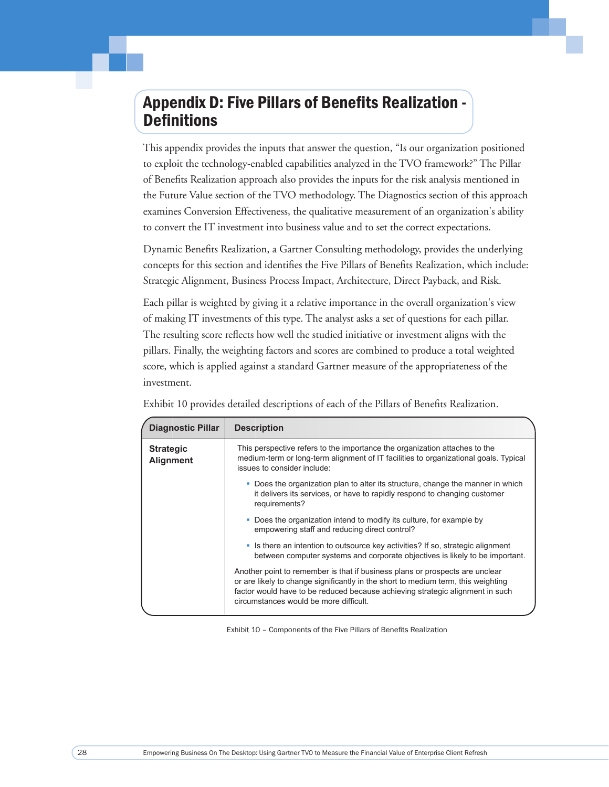## Appendix D: Five Pillars of Benefits Realization -**Definitions**

This appendix provides the inputs that answer the question, "Is our organization positioned to exploit the technology-enabled capabilities analyzed in the TVO framework?" The Pillar of Benefits Realization approach also provides the inputs for the risk analysis mentioned in the Future Value section of the TVO methodology. The Diagnostics section of this approach examines Conversion Effectiveness, the qualitative measurement of an organization's ability to convert the IT investment into business value and to set the correct expectations.

Dynamic Benefits Realization, a Gartner Consulting methodology, provides the underlying concepts for this section and identifies the Five Pillars of Benefits Realization, which include: Strategic Alignment, Business Process Impact, Architecture, Direct Payback, and Risk.

Each pillar is weighted by giving it a relative importance in the overall organization's view of making IT investments of this type. The analyst asks a set of questions for each pillar. The resulting score reflects how well the studied initiative or investment aligns with the pillars. Finally, the weighting factors and scores are combined to produce a total weighted score, which is applied against a standard Gartner measure of the appropriateness of the investment.

| <b>Diagnostic Pillar</b>             | <b>Description</b>                                                                                                                                                                                                                                                                           |
|--------------------------------------|----------------------------------------------------------------------------------------------------------------------------------------------------------------------------------------------------------------------------------------------------------------------------------------------|
| <b>Strategic</b><br><b>Alignment</b> | This perspective refers to the importance the organization attaches to the<br>medium-term or long-term alignment of IT facilities to organizational goals. Typical<br>issues to consider include:                                                                                            |
|                                      | • Does the organization plan to alter its structure, change the manner in which<br>it delivers its services, or have to rapidly respond to changing customer<br>requirements?                                                                                                                |
|                                      | • Does the organization intend to modify its culture, for example by<br>empowering staff and reducing direct control?                                                                                                                                                                        |
|                                      | • Is there an intention to outsource key activities? If so, strategic alignment<br>between computer systems and corporate objectives is likely to be important.                                                                                                                              |
|                                      | Another point to remember is that if business plans or prospects are unclear<br>or are likely to change significantly in the short to medium term, this weighting<br>factor would have to be reduced because achieving strategic alignment in such<br>circumstances would be more difficult. |

Exhibit 10 provides detailed descriptions of each of the Pillars of Benefits Realization.

Exhibit 10 - Components of the Five Pillars of Benefits Realization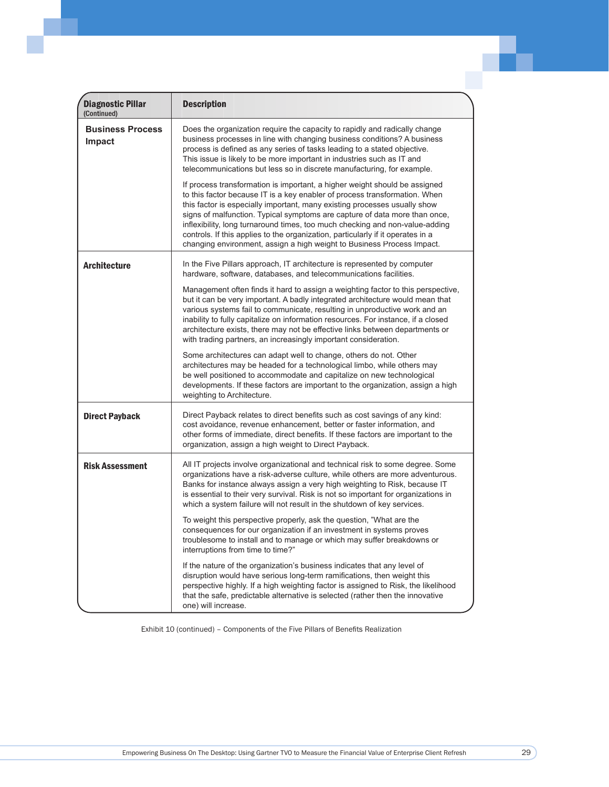| <b>Diagnostic Pillar</b><br>(Continued) | <b>Description</b>                                                                                                                                                                                                                                                                                                                                                                                                                                                                                                                                               |
|-----------------------------------------|------------------------------------------------------------------------------------------------------------------------------------------------------------------------------------------------------------------------------------------------------------------------------------------------------------------------------------------------------------------------------------------------------------------------------------------------------------------------------------------------------------------------------------------------------------------|
| <b>Business Process</b><br>Impact       | Does the organization require the capacity to rapidly and radically change<br>business processes in line with changing business conditions? A business<br>process is defined as any series of tasks leading to a stated objective.<br>This issue is likely to be more important in industries such as IT and<br>telecommunications but less so in discrete manufacturing, for example.                                                                                                                                                                           |
|                                         | If process transformation is important, a higher weight should be assigned<br>to this factor because IT is a key enabler of process transformation. When<br>this factor is especially important, many existing processes usually show<br>signs of malfunction. Typical symptoms are capture of data more than once,<br>inflexibility, long turnaround times, too much checking and non-value-adding<br>controls. If this applies to the organization, particularly if it operates in a<br>changing environment, assign a high weight to Business Process Impact. |
| <b>Architecture</b>                     | In the Five Pillars approach, IT architecture is represented by computer<br>hardware, software, databases, and telecommunications facilities.                                                                                                                                                                                                                                                                                                                                                                                                                    |
|                                         | Management often finds it hard to assign a weighting factor to this perspective,<br>but it can be very important. A badly integrated architecture would mean that<br>various systems fail to communicate, resulting in unproductive work and an<br>inability to fully capitalize on information resources. For instance, if a closed<br>architecture exists, there may not be effective links between departments or<br>with trading partners, an increasingly important consideration.                                                                          |
|                                         | Some architectures can adapt well to change, others do not. Other<br>architectures may be headed for a technological limbo, while others may<br>be well positioned to accommodate and capitalize on new technological<br>developments. If these factors are important to the organization, assign a high<br>weighting to Architecture.                                                                                                                                                                                                                           |
| <b>Direct Payback</b>                   | Direct Payback relates to direct benefits such as cost savings of any kind:<br>cost avoidance, revenue enhancement, better or faster information, and<br>other forms of immediate, direct benefits. If these factors are important to the<br>organization, assign a high weight to Direct Payback.                                                                                                                                                                                                                                                               |
| <b>Risk Assessment</b>                  | All IT projects involve organizational and technical risk to some degree. Some<br>organizations have a risk-adverse culture, while others are more adventurous.<br>Banks for instance always assign a very high weighting to Risk, because IT<br>is essential to their very survival. Risk is not so important for organizations in<br>which a system failure will not result in the shutdown of key services.                                                                                                                                                   |
|                                         | To weight this perspective properly, ask the question, "What are the<br>consequences for our organization if an investment in systems proves<br>troublesome to install and to manage or which may suffer breakdowns or<br>interruptions from time to time?"                                                                                                                                                                                                                                                                                                      |
|                                         | If the nature of the organization's business indicates that any level of<br>disruption would have serious long-term ramifications, then weight this<br>perspective highly. If a high weighting factor is assigned to Risk, the likelihood<br>that the safe, predictable alternative is selected (rather then the innovative<br>one) will increase.                                                                                                                                                                                                               |

Exhibit 10 (continued) - Components of the Five Pillars of Benefits Realization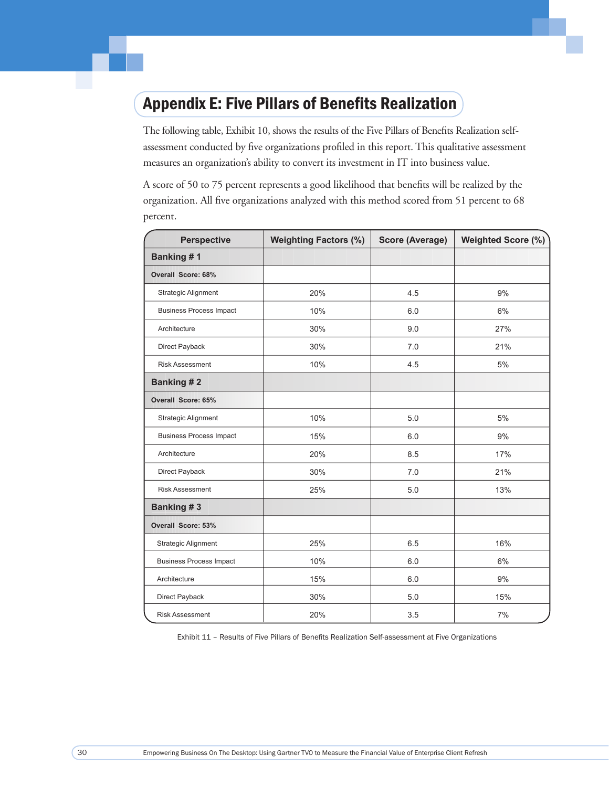## Appendix E: Five Pillars of Benefits Realization

The following table, Exhibit 10, shows the results of the Five Pillars of Benefits Realization selfassessment conducted by five organizations profiled in this report. This qualitative assessment measures an organization's ability to convert its investment in IT into business value.

A score of 50 to 75 percent represents a good likelihood that benefits will be realized by the organization. All five organizations analyzed with this method scored from 51 percent to 68 percent.

| <b>Perspective</b>             | <b>Weighting Factors (%)</b> | <b>Score (Average)</b> | Weighted Score (%) |
|--------------------------------|------------------------------|------------------------|--------------------|
| Banking #1                     |                              |                        |                    |
| <b>Overall Score: 68%</b>      |                              |                        |                    |
| Strategic Alignment            | 20%                          | 4.5                    | 9%                 |
| <b>Business Process Impact</b> | 10%                          | 6.0                    | 6%                 |
| Architecture                   | 30%                          | 9.0                    | 27%                |
| Direct Payback                 | 30%                          | 7.0                    | 21%                |
| <b>Risk Assessment</b>         | 10%                          | 4.5                    | 5%                 |
| <b>Banking #2</b>              |                              |                        |                    |
| <b>Overall Score: 65%</b>      |                              |                        |                    |
| <b>Strategic Alignment</b>     | 10%                          | 5.0                    | 5%                 |
| <b>Business Process Impact</b> | 15%                          | 6.0                    | 9%                 |
| Architecture                   | 20%                          | 8.5                    | 17%                |
| Direct Payback                 | 30%                          | 7.0                    | 21%                |
| <b>Risk Assessment</b>         | 25%                          | 5.0                    | 13%                |
| Banking #3                     |                              |                        |                    |
| <b>Overall Score: 53%</b>      |                              |                        |                    |
| <b>Strategic Alignment</b>     | 25%                          | 6.5                    | 16%                |
| <b>Business Process Impact</b> | 10%                          | 6.0                    | 6%                 |
| Architecture                   | 15%                          | 6.0                    | 9%                 |
| Direct Payback                 | 30%                          | 5.0                    | 15%                |
| <b>Risk Assessment</b>         | 20%                          | 3.5                    | 7%                 |

Exhibit 11 - Results of Five Pillars of Benefits Realization Self-assessment at Five Organizations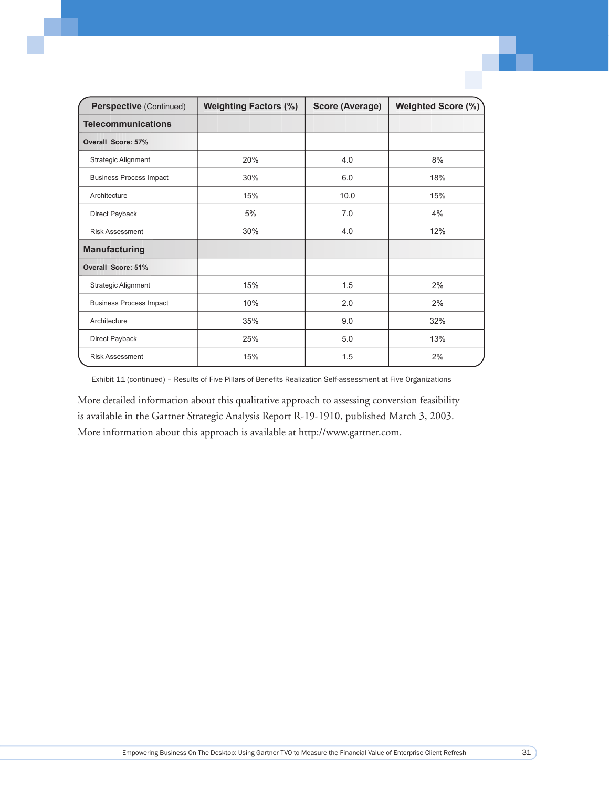| Perspective (Continued)        | <b>Weighting Factors (%)</b> | <b>Score (Average)</b> | Weighted Score (%) |
|--------------------------------|------------------------------|------------------------|--------------------|
| <b>Telecommunications</b>      |                              |                        |                    |
| Overall Score: 57%             |                              |                        |                    |
| Strategic Alignment            | 20%                          | 4.0                    | 8%                 |
| <b>Business Process Impact</b> | 30%                          | 6.0                    | 18%                |
| Architecture                   | 15%                          | 10.0                   | 15%                |
| Direct Payback                 | 5%                           | 7.0                    | 4%                 |
| <b>Risk Assessment</b>         | 30%                          | 4.0                    | 12%                |
| <b>Manufacturing</b>           |                              |                        |                    |
| Overall Score: 51%             |                              |                        |                    |
| <b>Strategic Alignment</b>     | 15%                          | 1.5                    | 2%                 |
| <b>Business Process Impact</b> | 10%                          | 2.0                    | 2%                 |
| Architecture                   | 35%                          | 9.0                    | 32%                |
| Direct Payback                 | 25%                          | 5.0                    | 13%                |
| <b>Risk Assessment</b>         | 15%                          | 1.5                    | 2%                 |

Exhibit 11 (continued) - Results of Five Pillars of Benefits Realization Self-assessment at Five Organizations

More detailed information about this qualitative approach to assessing conversion feasibility is available in the Gartner Strategic Analysis Report R-19-1910, published March 3, 2003. More information about this approach is available at http://www.gartner.com.